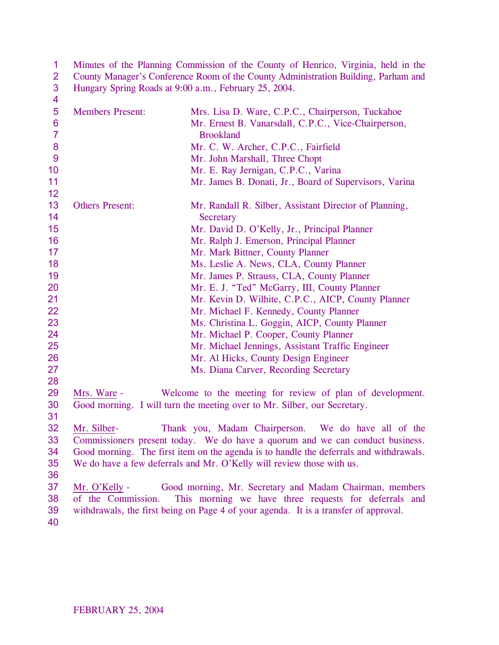| 1               |                         | Minutes of the Planning Commission of the County of Henrico, Virginia, held in the     |
|-----------------|-------------------------|----------------------------------------------------------------------------------------|
| $\overline{2}$  |                         | County Manager's Conference Room of the County Administration Building, Parham and     |
| 3               |                         | Hungary Spring Roads at 9:00 a.m., February 25, 2004.                                  |
| 4               |                         |                                                                                        |
| 5               | <b>Members Present:</b> | Mrs. Lisa D. Ware, C.P.C., Chairperson, Tuckahoe                                       |
| $6\phantom{1}6$ |                         | Mr. Ernest B. Vanarsdall, C.P.C., Vice-Chairperson,                                    |
| $\overline{7}$  |                         | <b>Brookland</b>                                                                       |
| 8               |                         | Mr. C. W. Archer, C.P.C., Fairfield                                                    |
| $\overline{9}$  |                         | Mr. John Marshall, Three Chopt                                                         |
| 10              |                         | Mr. E. Ray Jernigan, C.P.C., Varina                                                    |
| 11              |                         | Mr. James B. Donati, Jr., Board of Supervisors, Varina                                 |
| 12              |                         |                                                                                        |
| 13              | <b>Others Present:</b>  | Mr. Randall R. Silber, Assistant Director of Planning,                                 |
| 14              |                         | Secretary                                                                              |
| 15              |                         | Mr. David D. O'Kelly, Jr., Principal Planner                                           |
| 16              |                         | Mr. Ralph J. Emerson, Principal Planner                                                |
| 17              |                         | Mr. Mark Bittner, County Planner                                                       |
| 18              |                         | Ms. Leslie A. News, CLA, County Planner                                                |
| 19              |                         | Mr. James P. Strauss, CLA, County Planner                                              |
| 20              |                         | Mr. E. J. "Ted" McGarry, III, County Planner                                           |
| 21              |                         | Mr. Kevin D. Wilhite, C.P.C., AICP, County Planner                                     |
| 22              |                         | Mr. Michael F. Kennedy, County Planner                                                 |
| 23              |                         | Ms. Christina L. Goggin, AICP, County Planner                                          |
| 24              |                         | Mr. Michael P. Cooper, County Planner                                                  |
| 25              |                         | Mr. Michael Jennings, Assistant Traffic Engineer                                       |
| 26              |                         | Mr. Al Hicks, County Design Engineer                                                   |
| 27              |                         | Ms. Diana Carver, Recording Secretary                                                  |
| 28              |                         |                                                                                        |
| 29              | Mrs. Ware -             | Welcome to the meeting for review of plan of development.                              |
| 30              |                         | Good morning. I will turn the meeting over to Mr. Silber, our Secretary.               |
| 31              |                         |                                                                                        |
| 32              | Mr. Silber-             | Thank you, Madam Chairperson. We do have all of the                                    |
| 33              |                         | Commissioners present today. We do have a quorum and we can conduct business.          |
| 34              |                         | Good morning. The first item on the agenda is to handle the deferrals and withdrawals. |
| 35              |                         | We do have a few deferrals and Mr. O'Kelly will review those with us.                  |
| 36              |                         |                                                                                        |
| 37              | Mr. O'Kelly -           | Good morning, Mr. Secretary and Madam Chairman, members                                |
| 38              | of the Commission.      | This morning we have three requests for deferrals and                                  |
| 39              |                         | withdrawals, the first being on Page 4 of your agenda. It is a transfer of approval.   |
| 40              |                         |                                                                                        |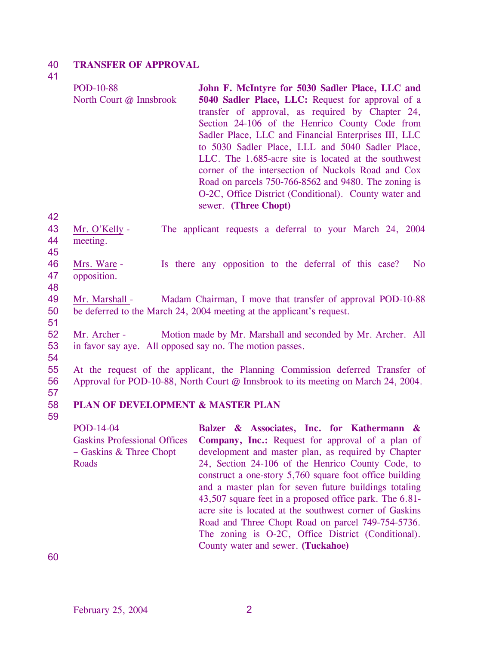#### 40 **TRANSFER OF APPROVAL**

41

| <b>POD-10-88</b><br>North Court @ Innsbrook | John F. McIntyre for 5030 Sadler Place, LLC and<br>5040 Sadler Place, LLC: Request for approval of a<br>transfer of approval, as required by Chapter 24,<br>Section 24-106 of the Henrico County Code from<br>Sadler Place, LLC and Financial Enterprises III, LLC<br>to 5030 Sadler Place, LLL and 5040 Sadler Place,<br>LLC. The 1.685-acre site is located at the southwest<br>corner of the intersection of Nuckols Road and Cox<br>Road on parcels 750-766-8562 and 9480. The zoning is<br>O-2C, Office District (Conditional). County water and |
|---------------------------------------------|-------------------------------------------------------------------------------------------------------------------------------------------------------------------------------------------------------------------------------------------------------------------------------------------------------------------------------------------------------------------------------------------------------------------------------------------------------------------------------------------------------------------------------------------------------|
|                                             | sewer. (Three Chopt)                                                                                                                                                                                                                                                                                                                                                                                                                                                                                                                                  |

42

|    | 43 Mr. O'Kelly - | The applicant requests a deferral to your March 24, 2004 |  |  |  |  |
|----|------------------|----------------------------------------------------------|--|--|--|--|
|    | 44 meeting.      |                                                          |  |  |  |  |
| 45 |                  |                                                          |  |  |  |  |

- 46 47 Mrs. Ware - Is there any opposition to the deferral of this case? No opposition.
- 48

49 50 51 Mr. Marshall - Madam Chairman, I move that transfer of approval POD-10-88 be deferred to the March 24, 2004 meeting at the applicant's request.

- 52 53 Mr. Archer - Motion made by Mr. Marshall and seconded by Mr. Archer. All in favor say aye. All opposed say no. The motion passes.
- 54

55 56 At the request of the applicant, the Planning Commission deferred Transfer of Approval for POD-10-88, North Court @ Innsbrook to its meeting on March 24, 2004.

57

## 58 59 **PLAN OF DEVELOPMENT & MASTER PLAN**

POD-14-04 Gaskins Professional Offices – Gaskins & Three Chopt **Roads Balzer & Associates, Inc. for Kathermann & Company, Inc.:** Request for approval of a plan of development and master plan, as required by Chapter 24, Section 24-106 of the Henrico County Code, to construct a one-story 5,760 square foot office building and a master plan for seven future buildings totaling 43,507 square feet in a proposed office park. The 6.81 acre site is located at the southwest corner of Gaskins Road and Three Chopt Road on parcel 749-754-5736. The zoning is O-2C, Office District (Conditional). County water and sewer. **(Tuckahoe)**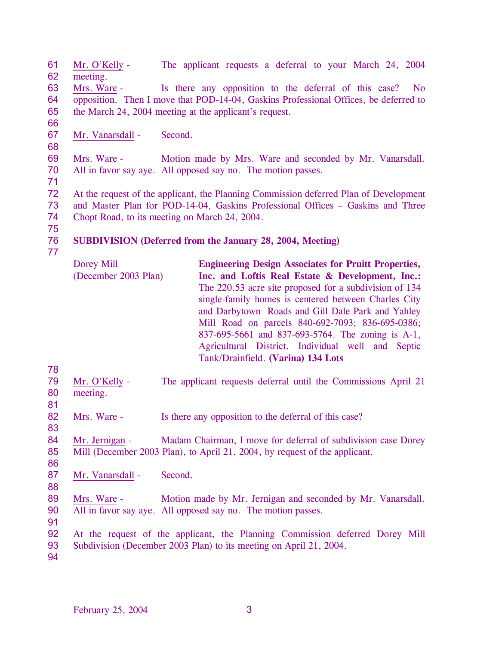61 62 Mr. O'Kelly - The applicant requests a deferral to your March 24, 2004 meeting.

63 64 65 Mrs. Ware - Is there any opposition to the deferral of this case? No opposition. Then I move that POD-14-04, Gaskins Professional Offices, be deferred to the March 24, 2004 meeting at the applicant's request.

66 67

68

Mr. Vanarsdall - Second.

69 70 Mrs. Ware - Motion made by Mrs. Ware and seconded by Mr. Vanarsdall. All in favor say aye. All opposed say no. The motion passes.

71

72 73 74 At the request of the applicant, the Planning Commission deferred Plan of Development and Master Plan for POD-14-04, Gaskins Professional Offices – Gaskins and Three Chopt Road, to its meeting on March 24, 2004.

75

76 77

## **SUBDIVISION (Deferred from the January 28, 2004, Meeting)**

- Dorey Mill (December 2003 Plan) **Engineering Design Associates for Pruitt Properties, Inc. and Loftis Real Estate & Development, Inc.:**  The 220.53 acre site proposed for a subdivision of 134 single-family homes is centered between Charles City and Darbytown Roads and Gill Dale Park and Yahley Mill Road on parcels 840-692-7093; 836-695-0386; 837-695-5661 and 837-693-5764. The zoning is A-1, Agricultural District. Individual well and Septic Tank/Drainfield. **(Varina) 134 Lots**
- 79 80 Mr. O'Kelly - The applicant requests deferral until the Commissions April 21 meeting.
- 81

83

78

82 Mrs. Ware - Is there any opposition to the deferral of this case?

84 85 Mr. Jernigan - Madam Chairman, I move for deferral of subdivision case Dorey Mill (December 2003 Plan), to April 21, 2004, by request of the applicant.

86 87

88

91

Mr. Vanarsdall - Second.

89 90 Mrs. Ware - Motion made by Mr. Jernigan and seconded by Mr. Vanarsdall. All in favor say aye. All opposed say no. The motion passes.

92 93 At the request of the applicant, the Planning Commission deferred Dorey Mill Subdivision (December 2003 Plan) to its meeting on April 21, 2004.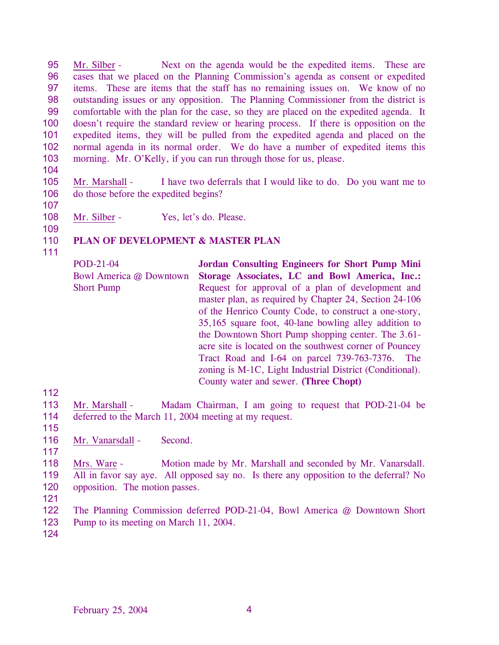95 96 97 98 99 100 101 102 103 Mr. Silber - Next on the agenda would be the expedited items. These are cases that we placed on the Planning Commission's agenda as consent or expedited items. These are items that the staff has no remaining issues on. We know of no outstanding issues or any opposition. The Planning Commissioner from the district is comfortable with the plan for the case, so they are placed on the expedited agenda. It doesn't require the standard review or hearing process. If there is opposition on the expedited items, they will be pulled from the expedited agenda and placed on the normal agenda in its normal order. We do have a number of expedited items this morning. Mr. O'Kelly, if you can run through those for us, please.

- 104
- 105 106 Mr. Marshall - I have two deferrals that I would like to do. Do you want me to do those before the expedited begins?
- 107
- 108

Mr. Silber - Yes, let's do. Please.

109

## 110 **PLAN OF DEVELOPMENT & MASTER PLAN**

111

| POD-21-04               | <b>Jordan Consulting Engineers for Short Pump Mini</b>   |
|-------------------------|----------------------------------------------------------|
| Bowl America @ Downtown | Storage Associates, LC and Bowl America, Inc.:           |
| <b>Short Pump</b>       | Request for approval of a plan of development and        |
|                         | master plan, as required by Chapter 24, Section 24-106   |
|                         | of the Henrico County Code, to construct a one-story,    |
|                         | 35,165 square foot, 40-lane bowling alley addition to    |
|                         | the Downtown Short Pump shopping center. The 3.61-       |
|                         | acre site is located on the southwest corner of Pouncey  |
|                         | Tract Road and I-64 on parcel 739-763-7376.<br>The       |
|                         | zoning is M-1C, Light Industrial District (Conditional). |
|                         | County water and sewer. (Three Chopt)                    |

112

113 114 Mr. Marshall - Madam Chairman, I am going to request that POD-21-04 be deferred to the March 11, 2004 meeting at my request.

115 116

117

Mr. Vanarsdall - Second.

118 119 120 Mrs. Ware - Motion made by Mr. Marshall and seconded by Mr. Vanarsdall. All in favor say aye. All opposed say no. Is there any opposition to the deferral? No opposition. The motion passes.

121

122 123 The Planning Commission deferred POD-21-04, Bowl America @ Downtown Short Pump to its meeting on March 11, 2004.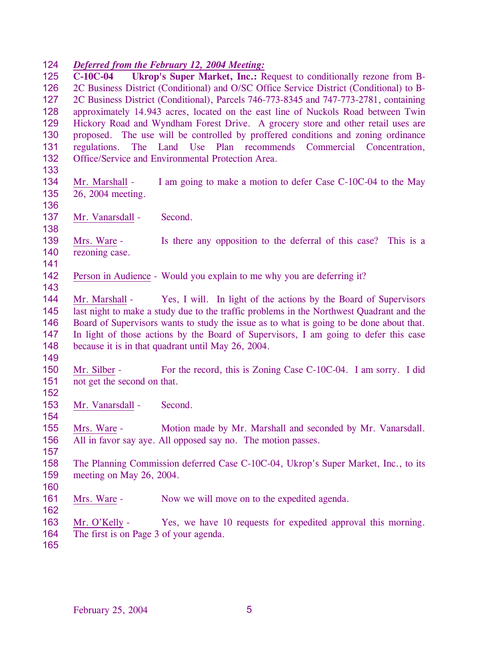### 124 *Deferred from the February 12, 2004 Meeting:*

125 126 127 128 129 130 131 132 133 **C-10C-04 Ukrop's Super Market, Inc.:** Request to conditionally rezone from B-2C Business District (Conditional) and O/SC Office Service District (Conditional) to B-2C Business District (Conditional), Parcels 746-773-8345 and 747-773-2781, containing approximately 14.943 acres, located on the east line of Nuckols Road between Twin Hickory Road and Wyndham Forest Drive. A grocery store and other retail uses are proposed. The use will be controlled by proffered conditions and zoning ordinance regulations. The Land Use Plan recommends Commercial Concentration, Office/Service and Environmental Protection Area. 134 135 136 Mr. Marshall - I am going to make a motion to defer Case C-10C-04 to the May 26, 2004 meeting. 137 138 Mr. Vanarsdall - Second. 139 140 141 Mrs. Ware - **Is there any opposition to the deferral of this case?** This is a rezoning case. 142 143 Person in Audience - Would you explain to me why you are deferring it? 144 145 146 147 148 149 Mr. Marshall - Yes, I will. In light of the actions by the Board of Supervisors last night to make a study due to the traffic problems in the Northwest Quadrant and the Board of Supervisors wants to study the issue as to what is going to be done about that. In light of those actions by the Board of Supervisors, I am going to defer this case because it is in that quadrant until May 26, 2004. 150 151 152 Mr. Silber - For the record, this is Zoning Case C-10C-04. I am sorry. I did not get the second on that. 153 154 Mr. Vanarsdall - Second. 155 156 157 158 159 160 Mrs. Ware - Motion made by Mr. Marshall and seconded by Mr. Vanarsdall. All in favor say aye. All opposed say no. The motion passes. The Planning Commission deferred Case C-10C-04, Ukrop's Super Market, Inc., to its meeting on May 26, 2004. 161 162 Mrs. Ware - Now we will move on to the expedited agenda. Mr. O'Kelly - Yes, we have 10 requests for expedited approval this morning. The first is on Page 3 of your agenda. 163 164 165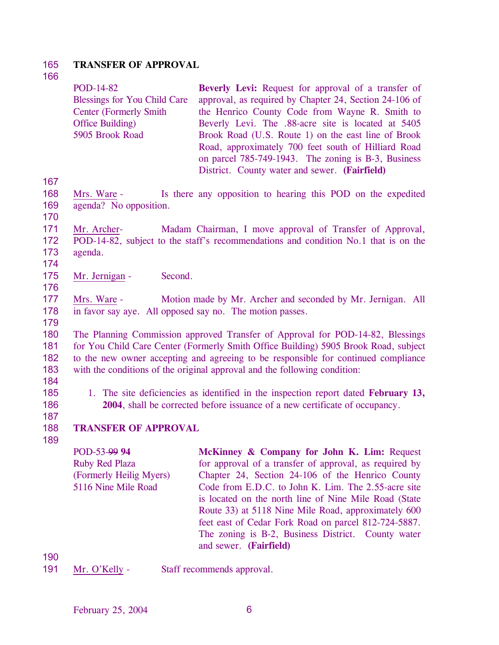#### 165 **TRANSFER OF APPROVAL**

## 166

167

168 169 170

| POD-14-82                             | <b>Beverly Levi:</b> Request for approval of a transfer of   |
|---------------------------------------|--------------------------------------------------------------|
| <b>Blessings for You Child Care</b>   | approval, as required by Chapter 24, Section 24-106 of       |
| <b>Center (Formerly Smith)</b>        | the Henrico County Code from Wayne R. Smith to               |
| Office Building)                      | Beverly Levi. The .88-acre site is located at 5405           |
| 5905 Brook Road                       | Brook Road (U.S. Route 1) on the east line of Brook          |
|                                       | Road, approximately 700 feet south of Hilliard Road          |
|                                       | on parcel 785-749-1943. The zoning is B-3, Business          |
|                                       | District. County water and sewer. (Fairfield)                |
| Mrs. Ware -<br>agenda? No opposition. | Is there any opposition to hearing this POD on the expedited |
| Mr. Archer-<br><b>DOD</b> 4400        | Madam Chairman, I move approval of Transfer of Approval,     |

- 171 172 173 POD-14-82, subject to the staff's recommendations and condition No.1 that is on the agenda.
- 174
- 175 Mr. Jernigan - Second.
- 176

177 178 Mrs. Ware - Motion made by Mr. Archer and seconded by Mr. Jernigan. All in favor say aye. All opposed say no. The motion passes.

179

180 181 182 183 The Planning Commission approved Transfer of Approval for POD-14-82, Blessings for You Child Care Center (Formerly Smith Office Building) 5905 Brook Road, subject to the new owner accepting and agreeing to be responsible for continued compliance with the conditions of the original approval and the following condition:

184 185

1. The site deficiencies as identified in the inspection report dated **February 13, 2004**, shall be corrected before issuance of a new certificate of occupancy.

187 188

189

186

## **TRANSFER OF APPROVAL**

POD-53-99 **94** Ruby Red Plaza (Formerly Heilig Myers) 5116 Nine Mile Road **McKinney & Company for John K. Lim:** Request for approval of a transfer of approval, as required by Chapter 24, Section 24-106 of the Henrico County Code from E.D.C. to John K. Lim. The 2.55-acre site is located on the north line of Nine Mile Road (State Route 33) at 5118 Nine Mile Road, approximately 600 feet east of Cedar Fork Road on parcel 812-724-5887. The zoning is B-2, Business District. County water and sewer. **(Fairfield)** 

190

191 Mr. O'Kelly - Staff recommends approval.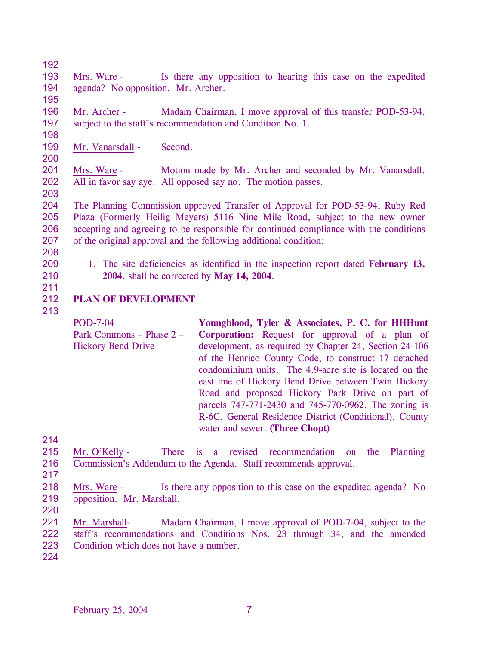192

195

- 193 194 Mrs. Ware - Is there any opposition to hearing this case on the expedited agenda? No opposition. Mr. Archer.
- 196 197 Mr. Archer - Madam Chairman, I move approval of this transfer POD-53-94, subject to the staff's recommendation and Condition No. 1.
- 198 199

200

- Mr. Vanarsdall Second.
- 201 202 Mrs. Ware - Motion made by Mr. Archer and seconded by Mr. Vanarsdall. All in favor say aye. All opposed say no. The motion passes.
- 203

204 205 206 207 The Planning Commission approved Transfer of Approval for POD-53-94, Ruby Red Plaza (Formerly Heilig Meyers) 5116 Nine Mile Road, subject to the new owner accepting and agreeing to be responsible for continued compliance with the conditions of the original approval and the following additional condition:

- 208
- 209
- 1. The site deficiencies as identified in the inspection report dated **February 13, 2004**, shall be corrected by **May 14, 2004**.
- 210 211

## 212 **PLAN OF DEVELOPMENT**

213

POD-7-04 Park Commons – Phase 2 – Hickory Bend Drive **Youngblood, Tyler & Associates, P. C. for HHHunt Corporation:** Request for approval of a plan of development, as required by Chapter 24, Section 24-106 of the Henrico County Code, to construct 17 detached condominium units. The 4.9-acre site is located on the east line of Hickory Bend Drive between Twin Hickory Road and proposed Hickory Park Drive on part of parcels 747-771-2430 and 745-770-0962. The zoning is R-6C, General Residence District (Conditional). County water and sewer. **(Three Chopt)** 

- 215 216 Mr. O'Kelly - There is a revised recommendation on the Planning Commission's Addendum to the Agenda. Staff recommends approval.
- 217
- 218 219 Mrs. Ware - Is there any opposition to this case on the expedited agenda? No opposition. Mr. Marshall.
- 220
- 221 222 223 Mr. Marshall- Madam Chairman, I move approval of POD-7-04, subject to the staff's recommendations and Conditions Nos. 23 through 34, and the amended Condition which does not have a number.
- 224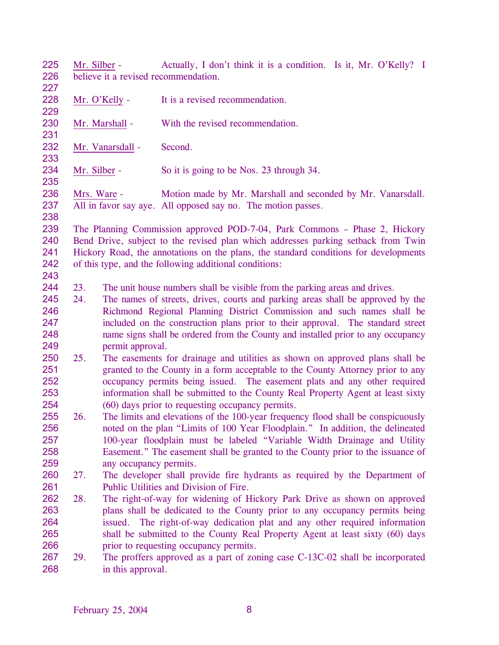225 226 227 Mr. Silber - Actually, I don't think it is a condition. Is it, Mr. O'Kelly? I believe it a revised recommendation.

- 228 229 Mr. O'Kelly - It is a revised recommendation.
- 230 Mr. Marshall - With the revised recommendation.
- 232 Mr. Vanarsdall - Second.
- 234 Mr. Silber - So it is going to be Nos. 23 through 34.

236 237 Mrs. Ware - Motion made by Mr. Marshall and seconded by Mr. Vanarsdall. All in favor say aye. All opposed say no. The motion passes.

238

231

233

235

239 240 241 242 243 The Planning Commission approved POD-7-04, Park Commons – Phase 2, Hickory Bend Drive, subject to the revised plan which addresses parking setback from Twin Hickory Road, the annotations on the plans, the standard conditions for developments of this type, and the following additional conditions:

- 244 23. The unit house numbers shall be visible from the parking areas and drives.
- 245 246 247 248 249 24. The names of streets, drives, courts and parking areas shall be approved by the Richmond Regional Planning District Commission and such names shall be included on the construction plans prior to their approval. The standard street name signs shall be ordered from the County and installed prior to any occupancy permit approval.
- 250 251 252 253 254 25. The easements for drainage and utilities as shown on approved plans shall be granted to the County in a form acceptable to the County Attorney prior to any occupancy permits being issued. The easement plats and any other required information shall be submitted to the County Real Property Agent at least sixty (60) days prior to requesting occupancy permits.
- 255 256 257 258 259 26. The limits and elevations of the 100-year frequency flood shall be conspicuously noted on the plan "Limits of 100 Year Floodplain." In addition, the delineated 100-year floodplain must be labeled "Variable Width Drainage and Utility Easement." The easement shall be granted to the County prior to the issuance of any occupancy permits.
- 260 261 27. The developer shall provide fire hydrants as required by the Department of Public Utilities and Division of Fire.
- 262 263 264 265 266 28. The right-of-way for widening of Hickory Park Drive as shown on approved plans shall be dedicated to the County prior to any occupancy permits being issued. The right-of-way dedication plat and any other required information shall be submitted to the County Real Property Agent at least sixty (60) days prior to requesting occupancy permits.
- 267 268 29. The proffers approved as a part of zoning case C-13C-02 shall be incorporated in this approval.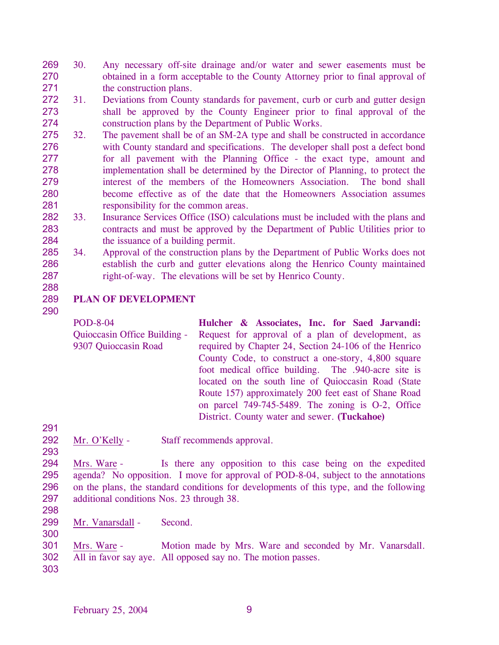- 269 270 271 30. Any necessary off-site drainage and/or water and sewer easements must be obtained in a form acceptable to the County Attorney prior to final approval of the construction plans.
- 272 273 274 31. Deviations from County standards for pavement, curb or curb and gutter design shall be approved by the County Engineer prior to final approval of the construction plans by the Department of Public Works.
- 275 276 277 278 279 280 281 32. The pavement shall be of an SM-2A type and shall be constructed in accordance with County standard and specifications. The developer shall post a defect bond for all pavement with the Planning Office - the exact type, amount and implementation shall be determined by the Director of Planning, to protect the interest of the members of the Homeowners Association. The bond shall become effective as of the date that the Homeowners Association assumes responsibility for the common areas.
- 282 283 284 33. Insurance Services Office (ISO) calculations must be included with the plans and contracts and must be approved by the Department of Public Utilities prior to the issuance of a building permit.
- 285 286 287 34. Approval of the construction plans by the Department of Public Works does not establish the curb and gutter elevations along the Henrico County maintained right-of-way. The elevations will be set by Henrico County.
- 288

## 289 **PLAN OF DEVELOPMENT**

290

POD-8-04 Quioccasin Office Building - 9307 Quioccasin Road **Hulcher & Associates, Inc. for Saed Jarvandi:**  Request for approval of a plan of development, as required by Chapter 24, Section 24-106 of the Henrico County Code, to construct a one-story, 4,800 square foot medical office building. The .940-acre site is located on the south line of Quioccasin Road (State Route 157) approximately 200 feet east of Shane Road on parcel 749-745-5489. The zoning is O-2, Office District. County water and sewer. **(Tuckahoe)** 

- 291
- 292 293 Mr. O'Kelly - Staff recommends approval.
- 294 295 296 297 Mrs. Ware - Is there any opposition to this case being on the expedited agenda? No opposition. I move for approval of POD-8-04, subject to the annotations on the plans, the standard conditions for developments of this type, and the following additional conditions Nos. 23 through 38.
- 298 299

300

Mr. Vanarsdall - Second.

- 301 302 Mrs. Ware - Motion made by Mrs. Ware and seconded by Mr. Vanarsdall. All in favor say aye. All opposed say no. The motion passes.
- 303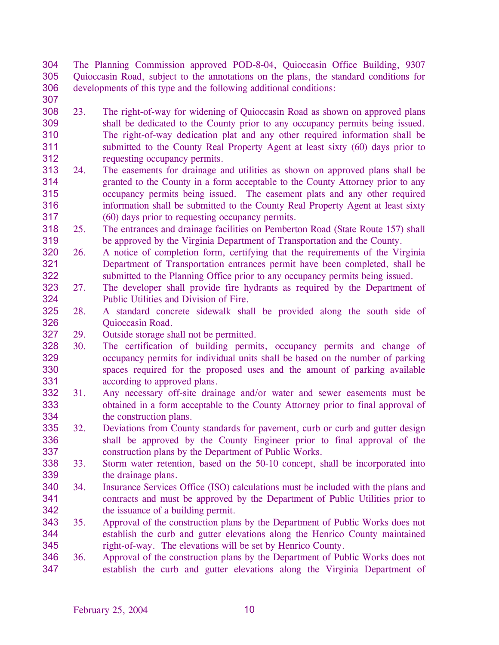304 305 306 The Planning Commission approved POD-8-04, Quioccasin Office Building, 9307 Quioccasin Road, subject to the annotations on the plans, the standard conditions for developments of this type and the following additional conditions:

- 307
- 308 309 310 311 312 23. The right-of-way for widening of Quioccasin Road as shown on approved plans shall be dedicated to the County prior to any occupancy permits being issued. The right-of-way dedication plat and any other required information shall be submitted to the County Real Property Agent at least sixty (60) days prior to requesting occupancy permits.
- 313 314 315 316 317 24. The easements for drainage and utilities as shown on approved plans shall be granted to the County in a form acceptable to the County Attorney prior to any occupancy permits being issued. The easement plats and any other required information shall be submitted to the County Real Property Agent at least sixty (60) days prior to requesting occupancy permits.
- 318 319 25. The entrances and drainage facilities on Pemberton Road (State Route 157) shall be approved by the Virginia Department of Transportation and the County.
- 320 321 322 26. A notice of completion form, certifying that the requirements of the Virginia Department of Transportation entrances permit have been completed, shall be submitted to the Planning Office prior to any occupancy permits being issued.
- 323 324 27. The developer shall provide fire hydrants as required by the Department of Public Utilities and Division of Fire.
- 325 326 28. A standard concrete sidewalk shall be provided along the south side of Quioccasin Road.

327 29. Outside storage shall not be permitted.

- 328 329 330 331 30. The certification of building permits, occupancy permits and change of occupancy permits for individual units shall be based on the number of parking spaces required for the proposed uses and the amount of parking available according to approved plans.
- 332 333 334 31. Any necessary off-site drainage and/or water and sewer easements must be obtained in a form acceptable to the County Attorney prior to final approval of the construction plans.
- 335 336 337 32. Deviations from County standards for pavement, curb or curb and gutter design shall be approved by the County Engineer prior to final approval of the construction plans by the Department of Public Works.
- 338 339 33. Storm water retention, based on the 50-10 concept, shall be incorporated into the drainage plans.
- 340 341 342 34. Insurance Services Office (ISO) calculations must be included with the plans and contracts and must be approved by the Department of Public Utilities prior to the issuance of a building permit.
- 343 344 345 35. Approval of the construction plans by the Department of Public Works does not establish the curb and gutter elevations along the Henrico County maintained right-of-way. The elevations will be set by Henrico County.
- 346 347 36. Approval of the construction plans by the Department of Public Works does not establish the curb and gutter elevations along the Virginia Department of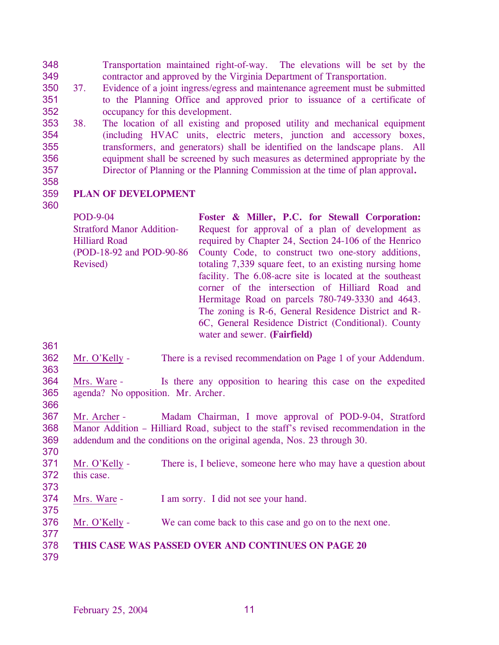348 349 Transportation maintained right-of-way. The elevations will be set by the contractor and approved by the Virginia Department of Transportation.

- 350 37. Evidence of a joint ingress/egress and maintenance agreement must be submitted 351 352 to the Planning Office and approved prior to issuance of a certificate of occupancy for this development.
- 353 354 355 356 357 38. The location of all existing and proposed utility and mechanical equipment (including HVAC units, electric meters, junction and accessory boxes, transformers, and generators) shall be identified on the landscape plans. All equipment shall be screened by such measures as determined appropriate by the Director of Planning or the Planning Commission at the time of plan approval**.**
- 358

## 359 **PLAN OF DEVELOPMENT**

360

| <b>POD-9-04</b>                  | Foster & Miller, P.C. for Stewall Corporation:           |
|----------------------------------|----------------------------------------------------------|
| <b>Stratford Manor Addition-</b> | Request for approval of a plan of development as         |
| <b>Hilliard Road</b>             | required by Chapter 24, Section 24-106 of the Henrico    |
| (POD-18-92 and POD-90-86)        | County Code, to construct two one-story additions,       |
| Revised)                         | totaling 7,339 square feet, to an existing nursing home  |
|                                  | facility. The 6.08-acre site is located at the southeast |
|                                  | corner of the intersection of Hilliard Road and          |
|                                  | Hermitage Road on parcels 780-749-3330 and 4643.         |
|                                  | The zoning is R-6, General Residence District and R-     |
|                                  | 6C, General Residence District (Conditional). County     |
|                                  | water and sewer. (Fairfield)                             |

361

363

- 362 Mr. O'Kelly - There is a revised recommendation on Page 1 of your Addendum.
- 364 365 Mrs. Ware - Is there any opposition to hearing this case on the expedited agenda? No opposition. Mr. Archer.
- 366

367 368 369 370 Mr. Archer - Madam Chairman, I move approval of POD-9-04, Stratford Manor Addition – Hilliard Road, subject to the staff's revised recommendation in the addendum and the conditions on the original agenda, Nos. 23 through 30.

- 371 372 Mr. O'Kelly - There is, I believe, someone here who may have a question about this case.
- 373

374 Mrs. Ware - I am sorry. I did not see your hand.

- 375 376 Mr. O'Kelly - We can come back to this case and go on to the next one.
- 377
- 378 **THIS CASE WAS PASSED OVER AND CONTINUES ON PAGE 20**
- 379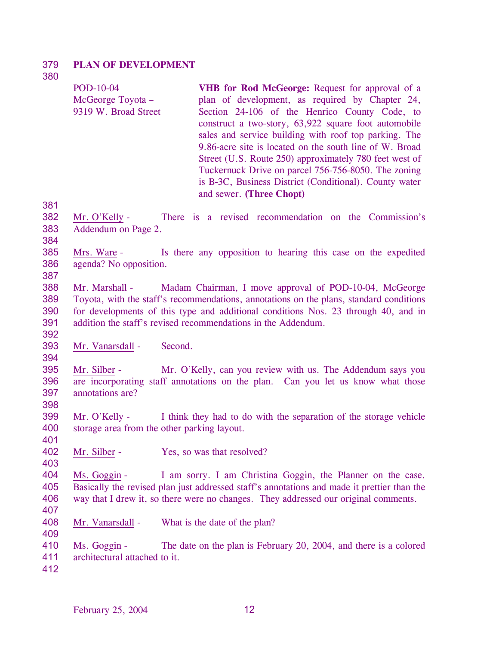#### 379 **PLAN OF DEVELOPMENT**

380

| POD-10-04            | <b>VHB</b> for Rod McGeorge: Request for approval of a  |
|----------------------|---------------------------------------------------------|
| McGeorge Toyota –    | plan of development, as required by Chapter 24,         |
| 9319 W. Broad Street | Section 24-106 of the Henrico County Code, to           |
|                      | construct a two-story, 63,922 square foot automobile    |
|                      | sales and service building with roof top parking. The   |
|                      | 9.86-acre site is located on the south line of W. Broad |
|                      | Street (U.S. Route 250) approximately 780 feet west of  |
|                      | Tuckernuck Drive on parcel 756-756-8050. The zoning     |
|                      | is B-3C, Business District (Conditional). County water  |
|                      | and sewer. (Three Chopt)                                |

381

- 382 383 Mr. O'Kelly - There is a revised recommendation on the Commission's Addendum on Page 2.
- 384

392

394

401

403

385 386 387 Mrs. Ware - Is there any opposition to hearing this case on the expedited agenda? No opposition.

- 388 389 390 391 Mr. Marshall - Madam Chairman, I move approval of POD-10-04, McGeorge Toyota, with the staff's recommendations, annotations on the plans, standard conditions for developments of this type and additional conditions Nos. 23 through 40, and in addition the staff's revised recommendations in the Addendum.
- 393 Mr. Vanarsdall - Second.
- 395 396 397 398 Mr. Silber - Mr. O'Kelly, can you review with us. The Addendum says you are incorporating staff annotations on the plan. Can you let us know what those annotations are?
- 399 400 Mr. O'Kelly - I think they had to do with the separation of the storage vehicle storage area from the other parking layout.
- 402 Mr. Silber - Yes, so was that resolved?
- 404 405 406 Ms. Goggin - I am sorry. I am Christina Goggin, the Planner on the case. Basically the revised plan just addressed staff's annotations and made it prettier than the way that I drew it, so there were no changes. They addressed our original comments.
- 407 408

- Mr. Vanarsdall What is the date of the plan?
- 410 Ms. Goggin - The date on the plan is February 20, 2004, and there is a colored
- 411 architectural attached to it.
- 412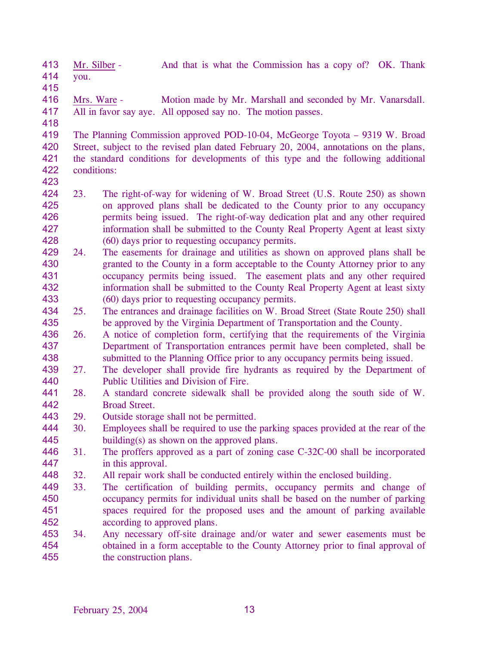413 414 Mr. Silber - And that is what the Commission has a copy of? OK. Thank you.

415

416 417 Mrs. Ware - Motion made by Mr. Marshall and seconded by Mr. Vanarsdall. All in favor say aye. All opposed say no. The motion passes.

418

419 420 421 422 423 The Planning Commission approved POD-10-04, McGeorge Toyota – 9319 W. Broad Street, subject to the revised plan dated February 20, 2004, annotations on the plans, the standard conditions for developments of this type and the following additional conditions:

- 424 425 426 427 428 23. The right-of-way for widening of W. Broad Street (U.S. Route 250) as shown on approved plans shall be dedicated to the County prior to any occupancy permits being issued. The right-of-way dedication plat and any other required information shall be submitted to the County Real Property Agent at least sixty (60) days prior to requesting occupancy permits.
- 429 430 431 432 433 24. The easements for drainage and utilities as shown on approved plans shall be granted to the County in a form acceptable to the County Attorney prior to any occupancy permits being issued. The easement plats and any other required information shall be submitted to the County Real Property Agent at least sixty (60) days prior to requesting occupancy permits.
- 434 435 25. The entrances and drainage facilities on W. Broad Street (State Route 250) shall be approved by the Virginia Department of Transportation and the County.
- 436 437 438 26. A notice of completion form, certifying that the requirements of the Virginia Department of Transportation entrances permit have been completed, shall be submitted to the Planning Office prior to any occupancy permits being issued.
- 439 440 27. The developer shall provide fire hydrants as required by the Department of Public Utilities and Division of Fire.
- 441 442 28. A standard concrete sidewalk shall be provided along the south side of W. Broad Street.
- 443 29. Outside storage shall not be permitted.
- 444 445 30. Employees shall be required to use the parking spaces provided at the rear of the building(s) as shown on the approved plans.
- 446 447 31. The proffers approved as a part of zoning case C-32C-00 shall be incorporated in this approval.
- 448 32. All repair work shall be conducted entirely within the enclosed building.
- 449 450 451 452 33. The certification of building permits, occupancy permits and change of occupancy permits for individual units shall be based on the number of parking spaces required for the proposed uses and the amount of parking available according to approved plans.
- 453 454 455 34. Any necessary off-site drainage and/or water and sewer easements must be obtained in a form acceptable to the County Attorney prior to final approval of the construction plans.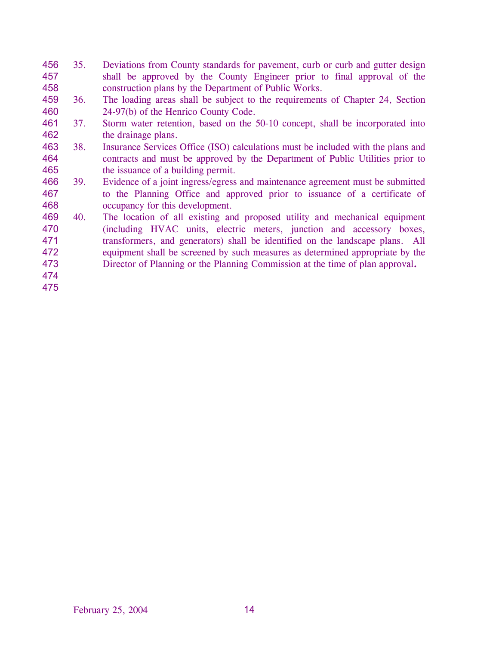- 456 457 458 35. Deviations from County standards for pavement, curb or curb and gutter design shall be approved by the County Engineer prior to final approval of the construction plans by the Department of Public Works.
- 459 460 36. The loading areas shall be subject to the requirements of Chapter 24, Section 24-97(b) of the Henrico County Code.
- 461 462 37. Storm water retention, based on the 50-10 concept, shall be incorporated into the drainage plans.
- 463 464 465 38. Insurance Services Office (ISO) calculations must be included with the plans and contracts and must be approved by the Department of Public Utilities prior to the issuance of a building permit.
- 466 467 468 39. Evidence of a joint ingress/egress and maintenance agreement must be submitted to the Planning Office and approved prior to issuance of a certificate of occupancy for this development.
- 469 470 471 472 473 40. The location of all existing and proposed utility and mechanical equipment (including HVAC units, electric meters, junction and accessory boxes, transformers, and generators) shall be identified on the landscape plans. All equipment shall be screened by such measures as determined appropriate by the Director of Planning or the Planning Commission at the time of plan approval**.**
- 474 475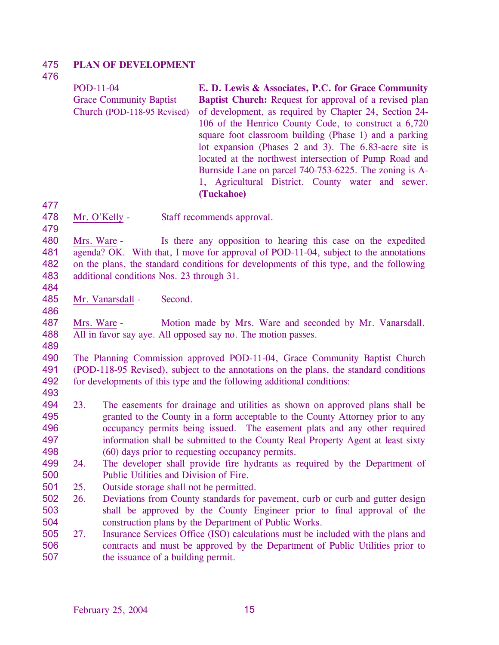#### 475 **PLAN OF DEVELOPMENT**

476

POD-11-04 Grace Community Baptist Church (POD-118-95 Revised) **E. D. Lewis & Associates, P.C. for Grace Community Baptist Church:** Request for approval of a revised plan of development, as required by Chapter 24, Section 24- 106 of the Henrico County Code, to construct a 6,720 square foot classroom building (Phase 1) and a parking lot expansion (Phases 2 and 3). The 6.83-acre site is located at the northwest intersection of Pump Road and Burnside Lane on parcel 740-753-6225. The zoning is A-1, Agricultural District. County water and sewer. **(Tuckahoe)** 

477

478 Mr. O'Kelly - Staff recommends approval.

479

480 481 482 483 Mrs. Ware - Is there any opposition to hearing this case on the expedited agenda? OK. With that, I move for approval of POD-11-04, subject to the annotations on the plans, the standard conditions for developments of this type, and the following additional conditions Nos. 23 through 31.

484

486

485 Mr. Vanarsdall - Second.

487 488 Mrs. Ware - Motion made by Mrs. Ware and seconded by Mr. Vanarsdall. All in favor say aye. All opposed say no. The motion passes.

489

490 491 492 The Planning Commission approved POD-11-04, Grace Community Baptist Church (POD-118-95 Revised), subject to the annotations on the plans, the standard conditions for developments of this type and the following additional conditions:

- 493
- 494 495 496 497 498 23. The easements for drainage and utilities as shown on approved plans shall be granted to the County in a form acceptable to the County Attorney prior to any occupancy permits being issued. The easement plats and any other required information shall be submitted to the County Real Property Agent at least sixty (60) days prior to requesting occupancy permits.
- 499 500 24. The developer shall provide fire hydrants as required by the Department of Public Utilities and Division of Fire.
- 501 25. Outside storage shall not be permitted.
- 502 503 504 26. Deviations from County standards for pavement, curb or curb and gutter design shall be approved by the County Engineer prior to final approval of the construction plans by the Department of Public Works.
- 505 506 507 27. Insurance Services Office (ISO) calculations must be included with the plans and contracts and must be approved by the Department of Public Utilities prior to the issuance of a building permit.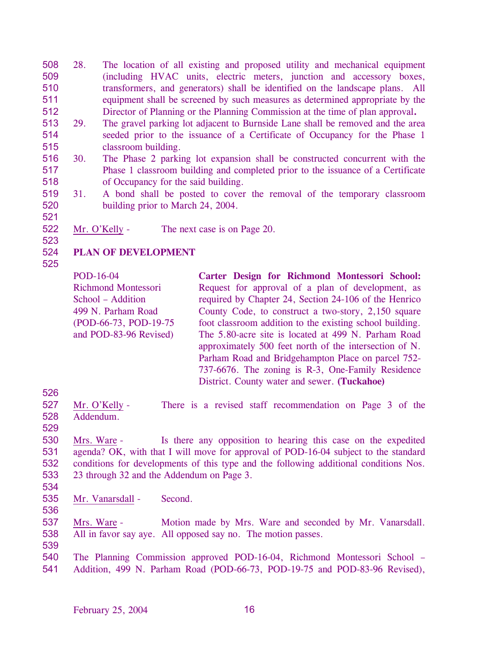508 509 510 511 512 28. The location of all existing and proposed utility and mechanical equipment (including HVAC units, electric meters, junction and accessory boxes, transformers, and generators) shall be identified on the landscape plans. All equipment shall be screened by such measures as determined appropriate by the Director of Planning or the Planning Commission at the time of plan approval**.**

- 513 514 515 29. The gravel parking lot adjacent to Burnside Lane shall be removed and the area seeded prior to the issuance of a Certificate of Occupancy for the Phase 1 classroom building.
- 516 517 518 30. The Phase 2 parking lot expansion shall be constructed concurrent with the Phase 1 classroom building and completed prior to the issuance of a Certificate of Occupancy for the said building.
- 519 520 31. A bond shall be posted to cover the removal of the temporary classroom building prior to March 24, 2004.
- 521

522 Mr. O'Kelly - The next case is on Page 20.

### 524 **PLAN OF DEVELOPMENT**

525

523

POD-16-04 Richmond Montessori School – Addition 499 N. Parham Road (POD-66-73, POD-19-75 and POD-83-96 Revised) **Carter Design for Richmond Montessori School:**  Request for approval of a plan of development, as required by Chapter 24, Section 24-106 of the Henrico County Code, to construct a two-story, 2,150 square foot classroom addition to the existing school building. The 5.80-acre site is located at 499 N. Parham Road approximately 500 feet north of the intersection of N. Parham Road and Bridgehampton Place on parcel 752- 737-6676. The zoning is R-3, One-Family Residence District. County water and sewer. **(Tuckahoe)** 

526

527 528 Mr. O'Kelly - There is a revised staff recommendation on Page 3 of the Addendum.

529

530 531 532 533 Mrs. Ware - Is there any opposition to hearing this case on the expedited agenda? OK, with that I will move for approval of POD-16-04 subject to the standard conditions for developments of this type and the following additional conditions Nos. 23 through 32 and the Addendum on Page 3.

- 534
- 535 Mr. Vanarsdall - Second.

536

537 538 Mrs. Ware - Motion made by Mrs. Ware and seconded by Mr. Vanarsdall. All in favor say aye. All opposed say no. The motion passes.

- 539
- 540 541 The Planning Commission approved POD-16-04, Richmond Montessori School – Addition, 499 N. Parham Road (POD-66-73, POD-19-75 and POD-83-96 Revised),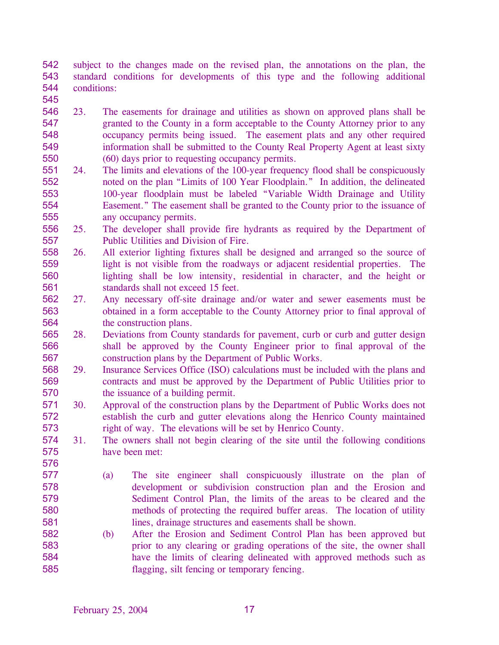542 543 544 subject to the changes made on the revised plan, the annotations on the plan, the standard conditions for developments of this type and the following additional conditions:

- 546 547 548 549 550 23. The easements for drainage and utilities as shown on approved plans shall be granted to the County in a form acceptable to the County Attorney prior to any occupancy permits being issued. The easement plats and any other required information shall be submitted to the County Real Property Agent at least sixty (60) days prior to requesting occupancy permits.
- 551 552 553 554 555 24. The limits and elevations of the 100-year frequency flood shall be conspicuously noted on the plan "Limits of 100 Year Floodplain." In addition, the delineated 100-year floodplain must be labeled "Variable Width Drainage and Utility Easement." The easement shall be granted to the County prior to the issuance of any occupancy permits.
- 556 557 25. The developer shall provide fire hydrants as required by the Department of Public Utilities and Division of Fire.
- 558 559 560 561 26. All exterior lighting fixtures shall be designed and arranged so the source of light is not visible from the roadways or adjacent residential properties. The lighting shall be low intensity, residential in character, and the height or standards shall not exceed 15 feet.
- 562 563 564 27. Any necessary off-site drainage and/or water and sewer easements must be obtained in a form acceptable to the County Attorney prior to final approval of the construction plans.
- 565 566 567 28. Deviations from County standards for pavement, curb or curb and gutter design shall be approved by the County Engineer prior to final approval of the construction plans by the Department of Public Works.
- 568 569 570 29. Insurance Services Office (ISO) calculations must be included with the plans and contracts and must be approved by the Department of Public Utilities prior to the issuance of a building permit.
- 571 572 573 30. Approval of the construction plans by the Department of Public Works does not establish the curb and gutter elevations along the Henrico County maintained right of way. The elevations will be set by Henrico County.
- 574 575 31. The owners shall not begin clearing of the site until the following conditions have been met:
- 577 578 579 580 581

576

- (a) The site engineer shall conspicuously illustrate on the plan of development or subdivision construction plan and the Erosion and Sediment Control Plan, the limits of the areas to be cleared and the methods of protecting the required buffer areas. The location of utility lines, drainage structures and easements shall be shown.
- 582 583 584 585 (b) After the Erosion and Sediment Control Plan has been approved but prior to any clearing or grading operations of the site, the owner shall have the limits of clearing delineated with approved methods such as flagging, silt fencing or temporary fencing.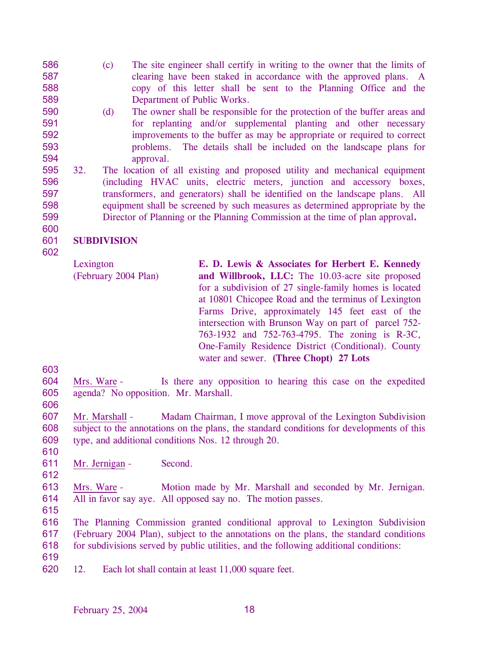- 586 587 588 589 (c) The site engineer shall certify in writing to the owner that the limits of clearing have been staked in accordance with the approved plans. A copy of this letter shall be sent to the Planning Office and the Department of Public Works.
- 590 591 592 593 594 (d) The owner shall be responsible for the protection of the buffer areas and for replanting and/or supplemental planting and other necessary improvements to the buffer as may be appropriate or required to correct problems. The details shall be included on the landscape plans for approval.
- 595 596 597 598 599 32. The location of all existing and proposed utility and mechanical equipment (including HVAC units, electric meters, junction and accessory boxes, transformers, and generators) shall be identified on the landscape plans. All equipment shall be screened by such measures as determined appropriate by the Director of Planning or the Planning Commission at the time of plan approval**.**

### 601 **SUBDIVISION**

602

600

Lexington (February 2004 Plan) **E. D. Lewis & Associates for Herbert E. Kennedy and Willbrook, LLC:** The 10.03-acre site proposed for a subdivision of 27 single-family homes is located at 10801 Chicopee Road and the terminus of Lexington Farms Drive, approximately 145 feet east of the intersection with Brunson Way on part of parcel 752- 763-1932 and 752-763-4795. The zoning is R-3C, One-Family Residence District (Conditional). County water and sewer. **(Three Chopt) 27 Lots** 

- 603 604 605 Mrs. Ware - Is there any opposition to hearing this case on the expedited agenda? No opposition. Mr. Marshall.
- 606

607 608 609 Mr. Marshall - Madam Chairman, I move approval of the Lexington Subdivision subject to the annotations on the plans, the standard conditions for developments of this type, and additional conditions Nos. 12 through 20.

- 611 Mr. Jernigan - Second.
- 

610

612

613 614 Mrs. Ware - Motion made by Mr. Marshall and seconded by Mr. Jernigan. All in favor say aye. All opposed say no. The motion passes.

615

616 617 618 The Planning Commission granted conditional approval to Lexington Subdivision (February 2004 Plan), subject to the annotations on the plans, the standard conditions for subdivisions served by public utilities, and the following additional conditions:

619

620 12. Each lot shall contain at least 11,000 square feet.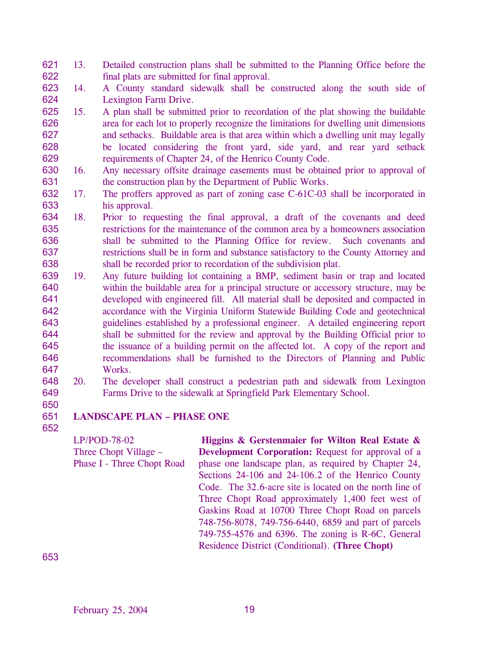621 622 13. Detailed construction plans shall be submitted to the Planning Office before the final plats are submitted for final approval.

623 624 14. A County standard sidewalk shall be constructed along the south side of Lexington Farm Drive.

- 625 626 627 628 629 15. A plan shall be submitted prior to recordation of the plat showing the buildable area for each lot to properly recognize the limitations for dwelling unit dimensions and setbacks. Buildable area is that area within which a dwelling unit may legally be located considering the front yard, side yard, and rear yard setback requirements of Chapter 24, of the Henrico County Code.
- 630 631 16. Any necessary offsite drainage easements must be obtained prior to approval of the construction plan by the Department of Public Works.
- 632 633 17. The proffers approved as part of zoning case C-61C-03 shall be incorporated in his approval.
- 634 635 636 637 638 18. Prior to requesting the final approval, a draft of the covenants and deed restrictions for the maintenance of the common area by a homeowners association shall be submitted to the Planning Office for review. Such covenants and restrictions shall be in form and substance satisfactory to the County Attorney and shall be recorded prior to recordation of the subdivision plat.
- 639 640 641 642 643 644 645 646 647 19. Any future building lot containing a BMP, sediment basin or trap and located within the buildable area for a principal structure or accessory structure, may be developed with engineered fill. All material shall be deposited and compacted in accordance with the Virginia Uniform Statewide Building Code and geotechnical guidelines established by a professional engineer. A detailed engineering report shall be submitted for the review and approval by the Building Official prior to the issuance of a building permit on the affected lot. A copy of the report and recommendations shall be furnished to the Directors of Planning and Public Works.
- 648 649 20. The developer shall construct a pedestrian path and sidewalk from Lexington Farms Drive to the sidewalk at Springfield Park Elementary School.
- 650 651

652

## **LANDSCAPE PLAN – PHASE ONE**

LP/POD-78-02 Three Chopt Village – Phase I - Three Chopt Road **Higgins & Gerstenmaier for Wilton Real Estate & Development Corporation:** Request for approval of a phase one landscape plan, as required by Chapter 24, Sections 24-106 and 24-106.2 of the Henrico County Code. The 32.6-acre site is located on the north line of Three Chopt Road approximately 1,400 feet west of Gaskins Road at 10700 Three Chopt Road on parcels 748-756-8078, 749-756-6440, 6859 and part of parcels 749-755-4576 and 6396. The zoning is R-6C, General Residence District (Conditional). **(Three Chopt)**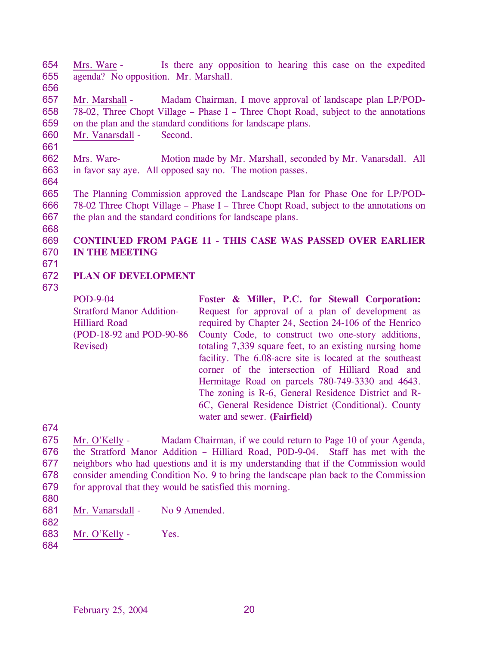654 655 Mrs. Ware - Is there any opposition to hearing this case on the expedited agenda? No opposition. Mr. Marshall.

656

657 658 659 Mr. Marshall - Madam Chairman, I move approval of landscape plan LP/POD-78-02, Three Chopt Village – Phase I – Three Chopt Road, subject to the annotations on the plan and the standard conditions for landscape plans.

660 Mr. Vanarsdall - Second.

661

662 663 Mrs. Ware- Motion made by Mr. Marshall, seconded by Mr. Vanarsdall. All in favor say aye. All opposed say no. The motion passes.

664

665 666 667 The Planning Commission approved the Landscape Plan for Phase One for LP/POD-78-02 Three Chopt Village – Phase I – Three Chopt Road, subject to the annotations on the plan and the standard conditions for landscape plans.

668

## 669 670 **CONTINUED FROM PAGE 11 - THIS CASE WAS PASSED OVER EARLIER IN THE MEETING**

671

## 672 **PLAN OF DEVELOPMENT**

673

POD-9-04 Stratford Manor Addition-Hilliard Road (POD-18-92 and POD-90-86 Revised) **Foster & Miller, P.C. for Stewall Corporation:**  Request for approval of a plan of development as required by Chapter 24, Section 24-106 of the Henrico County Code, to construct two one-story additions, totaling 7,339 square feet, to an existing nursing home facility. The 6.08-acre site is located at the southeast corner of the intersection of Hilliard Road and Hermitage Road on parcels 780-749-3330 and 4643. The zoning is R-6, General Residence District and R-6C, General Residence District (Conditional). County water and sewer. **(Fairfield)** 

674

675 676 677 678 679 Mr. O'Kelly - Madam Chairman, if we could return to Page 10 of your Agenda, the Stratford Manor Addition – Hilliard Road, P0D-9-04. Staff has met with the neighbors who had questions and it is my understanding that if the Commission would consider amending Condition No. 9 to bring the landscape plan back to the Commission for approval that they would be satisfied this morning.

- 680
- 681 682 Mr. Vanarsdall - No 9 Amended.
- 683 Mr. O'Kelly - Yes.
- 684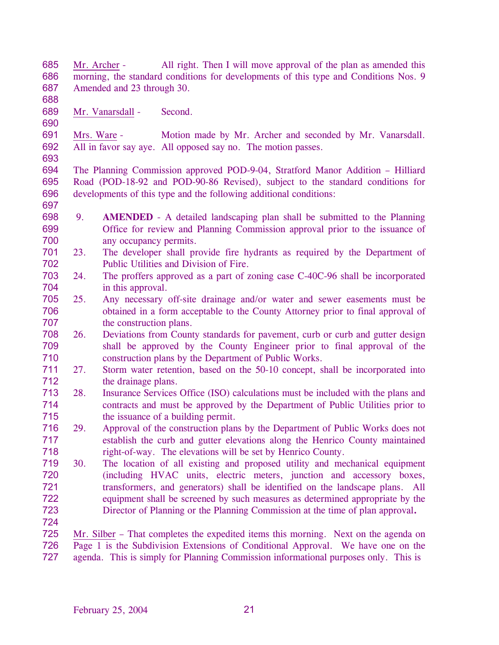685 686 687 Mr. Archer - All right. Then I will move approval of the plan as amended this morning, the standard conditions for developments of this type and Conditions Nos. 9 Amended and 23 through 30.

689 Mr. Vanarsdall - Second.

688

690

697

691 692 693 Mrs. Ware - Motion made by Mr. Archer and seconded by Mr. Vanarsdall. All in favor say aye. All opposed say no. The motion passes.

694 695 696 The Planning Commission approved POD-9-04, Stratford Manor Addition – Hilliard Road (POD-18-92 and POD-90-86 Revised), subject to the standard conditions for developments of this type and the following additional conditions:

- 698 699 700 9. **AMENDED** - A detailed landscaping plan shall be submitted to the Planning Office for review and Planning Commission approval prior to the issuance of any occupancy permits.
- 701 702 23. The developer shall provide fire hydrants as required by the Department of Public Utilities and Division of Fire.
- 703 704 24. The proffers approved as a part of zoning case C-40C-96 shall be incorporated in this approval.
- 705 706 707 25. Any necessary off-site drainage and/or water and sewer easements must be obtained in a form acceptable to the County Attorney prior to final approval of the construction plans.
- 708 709 710 26. Deviations from County standards for pavement, curb or curb and gutter design shall be approved by the County Engineer prior to final approval of the construction plans by the Department of Public Works.
- 711 712 27. Storm water retention, based on the 50-10 concept, shall be incorporated into the drainage plans.
- 713 714 715 28. Insurance Services Office (ISO) calculations must be included with the plans and contracts and must be approved by the Department of Public Utilities prior to the issuance of a building permit.
- 716 717 718 29. Approval of the construction plans by the Department of Public Works does not establish the curb and gutter elevations along the Henrico County maintained right-of-way. The elevations will be set by Henrico County.
- 719 720 721 722 723 30. The location of all existing and proposed utility and mechanical equipment (including HVAC units, electric meters, junction and accessory boxes, transformers, and generators) shall be identified on the landscape plans. All equipment shall be screened by such measures as determined appropriate by the Director of Planning or the Planning Commission at the time of plan approval**.**
- 724

Mr. Silber – That completes the expedited items this morning. Next on the agenda on Page 1 is the Subdivision Extensions of Conditional Approval. We have one on the agenda. This is simply for Planning Commission informational purposes only. This is 725 726 727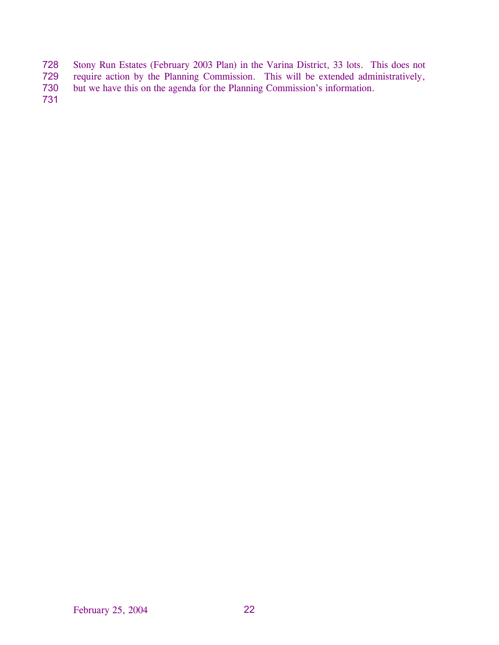- Stony Run Estates (February 2003 Plan) in the Varina District, 33 lots. This does not 728
- require action by the Planning Commission. This will be extended administratively, 729
- but we have this on the agenda for the Planning Commission's information. 730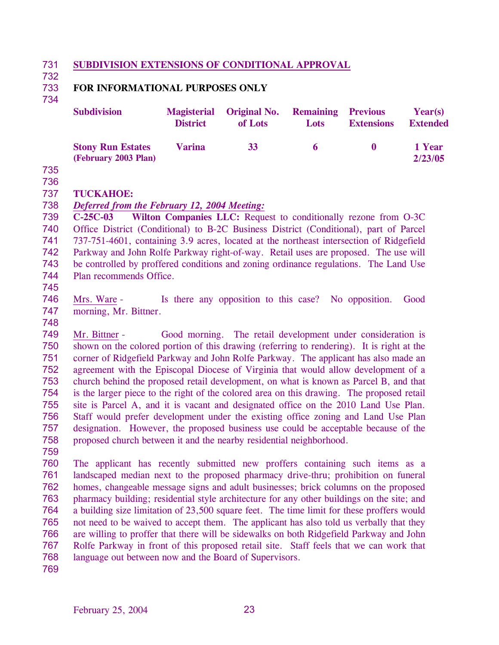#### 731 **SUBDIVISION EXTENSIONS OF CONDITIONAL APPROVAL**

732

734

### 733 **FOR INFORMATIONAL PURPOSES ONLY**

| <b>Subdivision</b>                               | <b>District</b> | <b>Magisterial Original No.</b><br>of Lots | <b>Remaining Previous</b><br><b>Lots</b> | <b>Extensions</b> | Year(s)<br><b>Extended</b> |
|--------------------------------------------------|-----------------|--------------------------------------------|------------------------------------------|-------------------|----------------------------|
| <b>Stony Run Estates</b><br>(February 2003 Plan) | <b>Varina</b>   | 33                                         | 6                                        |                   | 1 Year<br>2/23/05          |

735 736

737 **TUCKAHOE:**

### 738 *Deferred from the February 12, 2004 Meeting:*

739 740 741 742 743 744 **C-25C-03 Wilton Companies LLC:** Request to conditionally rezone from O-3C Office District (Conditional) to B-2C Business District (Conditional), part of Parcel 737-751-4601, containing 3.9 acres, located at the northeast intersection of Ridgefield Parkway and John Rolfe Parkway right-of-way. Retail uses are proposed. The use will be controlled by proffered conditions and zoning ordinance regulations. The Land Use Plan recommends Office.

745

746 747 Mrs. Ware - Is there any opposition to this case? No opposition. Good morning, Mr. Bittner.

748

749 750 751 752 753 754 755 756 757 758 Mr. Bittner - Good morning. The retail development under consideration is shown on the colored portion of this drawing (referring to rendering). It is right at the corner of Ridgefield Parkway and John Rolfe Parkway. The applicant has also made an agreement with the Episcopal Diocese of Virginia that would allow development of a church behind the proposed retail development, on what is known as Parcel B, and that is the larger piece to the right of the colored area on this drawing. The proposed retail site is Parcel A, and it is vacant and designated office on the 2010 Land Use Plan. Staff would prefer development under the existing office zoning and Land Use Plan designation. However, the proposed business use could be acceptable because of the proposed church between it and the nearby residential neighborhood.

759

760 761 762 763 764 765 766 767 768 The applicant has recently submitted new proffers containing such items as a landscaped median next to the proposed pharmacy drive-thru; prohibition on funeral homes, changeable message signs and adult businesses; brick columns on the proposed pharmacy building; residential style architecture for any other buildings on the site; and a building size limitation of 23,500 square feet. The time limit for these proffers would not need to be waived to accept them. The applicant has also told us verbally that they are willing to proffer that there will be sidewalks on both Ridgefield Parkway and John Rolfe Parkway in front of this proposed retail site. Staff feels that we can work that language out between now and the Board of Supervisors.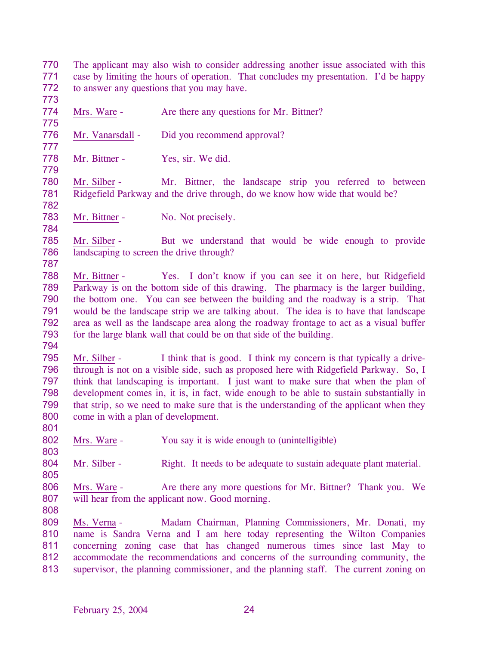770 771 772 773 The applicant may also wish to consider addressing another issue associated with this case by limiting the hours of operation. That concludes my presentation. I'd be happy to answer any questions that you may have. 774 775 Mrs. Ware - Are there any questions for Mr. Bittner? 776 777 Mr. Vanarsdall - Did you recommend approval? 778 779 Mr. Bittner - Yes, sir. We did. 780 781 782 Mr. Silber - Mr. Bittner, the landscape strip you referred to between Ridgefield Parkway and the drive through, do we know how wide that would be? 783 784 Mr. Bittner - No. Not precisely. 785 786 787 Mr. Silber - But we understand that would be wide enough to provide landscaping to screen the drive through? 788 789 790 791 792 793 794 Mr. Bittner - Yes. I don't know if you can see it on here, but Ridgefield Parkway is on the bottom side of this drawing. The pharmacy is the larger building, the bottom one. You can see between the building and the roadway is a strip. That would be the landscape strip we are talking about. The idea is to have that landscape area as well as the landscape area along the roadway frontage to act as a visual buffer for the large blank wall that could be on that side of the building. 795 796 797 798 799 800 801 Mr. Silber - I think that is good. I think my concern is that typically a drivethrough is not on a visible side, such as proposed here with Ridgefield Parkway. So, I think that landscaping is important. I just want to make sure that when the plan of development comes in, it is, in fact, wide enough to be able to sustain substantially in that strip, so we need to make sure that is the understanding of the applicant when they come in with a plan of development. 802 803 Mrs. Ware - You say it is wide enough to (unintelligible) 804 805 Mr. Silber - Right. It needs to be adequate to sustain adequate plant material. 806 807 808 Mrs. Ware - Are there any more questions for Mr. Bittner? Thank you. We will hear from the applicant now. Good morning. Ms. Verna - Madam Chairman, Planning Commissioners, Mr. Donati, my name is Sandra Verna and I am here today representing the Wilton Companies concerning zoning case that has changed numerous times since last May to accommodate the recommendations and concerns of the surrounding community, the supervisor, the planning commissioner, and the planning staff. The current zoning on 809 810 811 812 813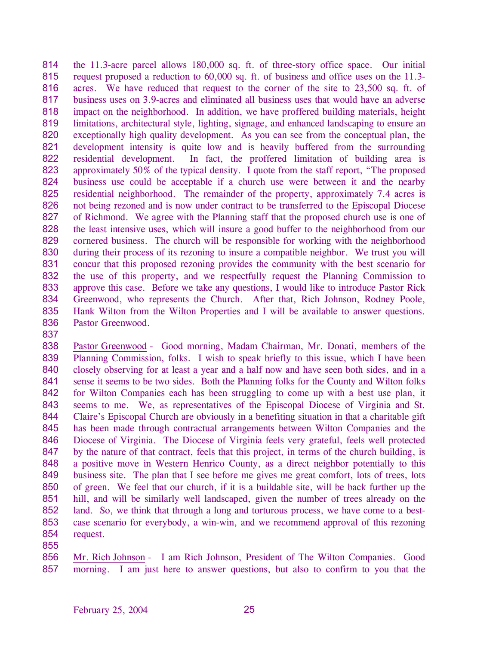814 815 816 817 818 819 820 821 822 823 824 825 826 827 828 829 830 831 832 833 834 835 836 the 11.3-acre parcel allows 180,000 sq. ft. of three-story office space. Our initial request proposed a reduction to 60,000 sq. ft. of business and office uses on the 11.3 acres. We have reduced that request to the corner of the site to 23,500 sq. ft. of business uses on 3.9-acres and eliminated all business uses that would have an adverse impact on the neighborhood. In addition, we have proffered building materials, height limitations, architectural style, lighting, signage, and enhanced landscaping to ensure an exceptionally high quality development. As you can see from the conceptual plan, the development intensity is quite low and is heavily buffered from the surrounding residential development. In fact, the proffered limitation of building area is approximately 50% of the typical density. I quote from the staff report, "The proposed business use could be acceptable if a church use were between it and the nearby residential neighborhood. The remainder of the property, approximately 7.4 acres is not being rezoned and is now under contract to be transferred to the Episcopal Diocese of Richmond. We agree with the Planning staff that the proposed church use is one of the least intensive uses, which will insure a good buffer to the neighborhood from our cornered business. The church will be responsible for working with the neighborhood during their process of its rezoning to insure a compatible neighbor. We trust you will concur that this proposed rezoning provides the community with the best scenario for the use of this property, and we respectfully request the Planning Commission to approve this case. Before we take any questions, I would like to introduce Pastor Rick Greenwood, who represents the Church. After that, Rich Johnson, Rodney Poole, Hank Wilton from the Wilton Properties and I will be available to answer questions. Pastor Greenwood.

837

838 839 840 841 842 843 844 845 846 847 848 849 850 851 852 853 854 Pastor Greenwood - Good morning, Madam Chairman, Mr. Donati, members of the Planning Commission, folks. I wish to speak briefly to this issue, which I have been closely observing for at least a year and a half now and have seen both sides, and in a sense it seems to be two sides. Both the Planning folks for the County and Wilton folks for Wilton Companies each has been struggling to come up with a best use plan, it seems to me. We, as representatives of the Episcopal Diocese of Virginia and St. Claire's Episcopal Church are obviously in a benefiting situation in that a charitable gift has been made through contractual arrangements between Wilton Companies and the Diocese of Virginia. The Diocese of Virginia feels very grateful, feels well protected by the nature of that contract, feels that this project, in terms of the church building, is a positive move in Western Henrico County, as a direct neighbor potentially to this business site. The plan that I see before me gives me great comfort, lots of trees, lots of green. We feel that our church, if it is a buildable site, will be back further up the hill, and will be similarly well landscaped, given the number of trees already on the land. So, we think that through a long and torturous process, we have come to a bestcase scenario for everybody, a win-win, and we recommend approval of this rezoning request.

855

Mr. Rich Johnson - I am Rich Johnson, President of The Wilton Companies. Good morning. I am just here to answer questions, but also to confirm to you that the 856 857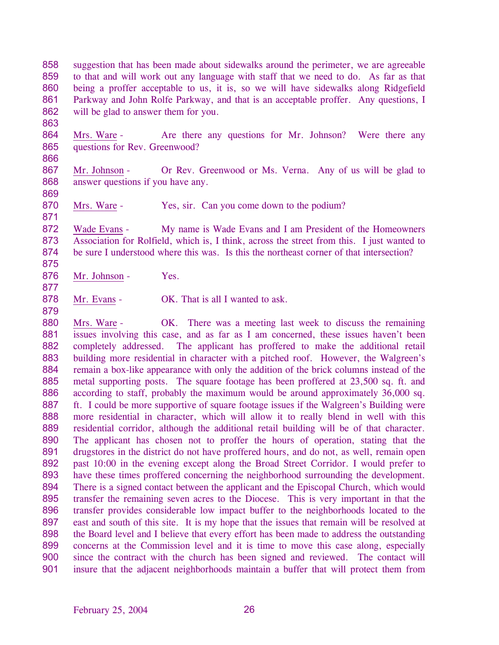858 859 860 861 862 suggestion that has been made about sidewalks around the perimeter, we are agreeable to that and will work out any language with staff that we need to do. As far as that being a proffer acceptable to us, it is, so we will have sidewalks along Ridgefield Parkway and John Rolfe Parkway, and that is an acceptable proffer. Any questions, I will be glad to answer them for you.

864 865 Mrs. Ware - Are there any questions for Mr. Johnson? Were there any questions for Rev. Greenwood?

867 868 Mr. Johnson - Or Rev. Greenwood or Ms. Verna. Any of us will be glad to answer questions if you have any.

870 Mrs. Ware - Yes, sir. Can you come down to the podium?

872 873 874 Wade Evans - My name is Wade Evans and I am President of the Homeowners Association for Rolfield, which is, I think, across the street from this. I just wanted to be sure I understood where this was. Is this the northeast corner of that intersection?

- 876 Mr. Johnson - Yes.
- 877 878

863

866

869

871

875

879

Mr. Evans - OK. That is all I wanted to ask.

Mrs. Ware - OK. There was a meeting last week to discuss the remaining issues involving this case, and as far as I am concerned, these issues haven't been completely addressed. The applicant has proffered to make the additional retail building more residential in character with a pitched roof. However, the Walgreen's remain a box-like appearance with only the addition of the brick columns instead of the metal supporting posts. The square footage has been proffered at 23,500 sq. ft. and according to staff, probably the maximum would be around approximately 36,000 sq. ft. I could be more supportive of square footage issues if the Walgreen's Building were more residential in character, which will allow it to really blend in well with this residential corridor, although the additional retail building will be of that character. The applicant has chosen not to proffer the hours of operation, stating that the drugstores in the district do not have proffered hours, and do not, as well, remain open past 10:00 in the evening except along the Broad Street Corridor. I would prefer to have these times proffered concerning the neighborhood surrounding the development. There is a signed contact between the applicant and the Episcopal Church, which would transfer the remaining seven acres to the Diocese. This is very important in that the transfer provides considerable low impact buffer to the neighborhoods located to the east and south of this site. It is my hope that the issues that remain will be resolved at the Board level and I believe that every effort has been made to address the outstanding concerns at the Commission level and it is time to move this case along, especially since the contract with the church has been signed and reviewed. The contact will insure that the adjacent neighborhoods maintain a buffer that will protect them from 880 881 882 883 884 885 886 887 888 889 890 891 892 893 894 895 896 897 898 899 900 901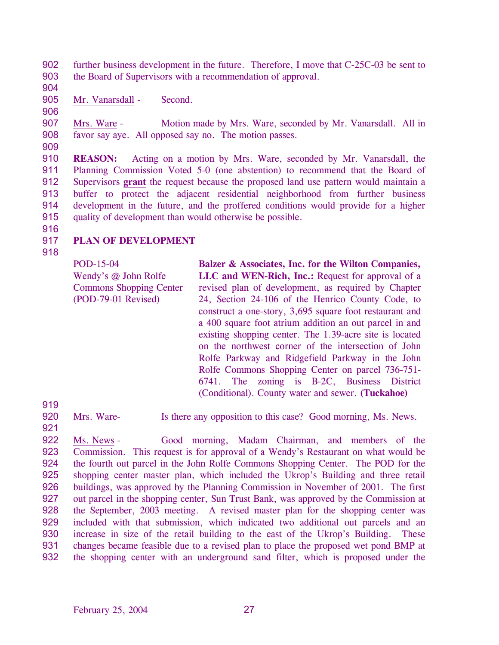902 903 further business development in the future. Therefore, I move that C-25C-03 be sent to the Board of Supervisors with a recommendation of approval.

904 905

Mr. Vanarsdall - Second.

906

907 908 Mrs. Ware - Motion made by Mrs. Ware, seconded by Mr. Vanarsdall. All in favor say aye. All opposed say no. The motion passes.

909

910 911 **REASON:** Acting on a motion by Mrs. Ware, seconded by Mr. Vanarsdall, the Planning Commission Voted 5-0 (one abstention) to recommend that the Board of Supervisors **grant** the request because the proposed land use pattern would maintain a buffer to protect the adjacent residential neighborhood from further business development in the future, and the proffered conditions would provide for a higher quality of development than would otherwise be possible. 912 913 914 915

916 917

# **PLAN OF DEVELOPMENT**

918

POD-15-04 Wendy's @ John Rolfe Commons Shopping Center (POD-79-01 Revised)

**Balzer & Associates, Inc. for the Wilton Companies, LLC and WEN-Rich, Inc.:** Request for approval of a revised plan of development, as required by Chapter 24, Section 24-106 of the Henrico County Code, to construct a one-story, 3,695 square foot restaurant and a 400 square foot atrium addition an out parcel in and existing shopping center. The 1.39-acre site is located on the northwest corner of the intersection of John Rolfe Parkway and Ridgefield Parkway in the John Rolfe Commons Shopping Center on parcel 736-751- 6741. The zoning is B-2C, Business District (Conditional). County water and sewer. **(Tuckahoe)** 

919

921

- 920
	- Mrs. Ware-<br>Is there any opposition to this case? Good morning, Ms. News.

Ms. News - Good morning, Madam Chairman, and members of the Commission. This request is for approval of a Wendy's Restaurant on what would be the fourth out parcel in the John Rolfe Commons Shopping Center. The POD for the shopping center master plan, which included the Ukrop's Building and three retail buildings, was approved by the Planning Commission in November of 2001. The first out parcel in the shopping center, Sun Trust Bank, was approved by the Commission at the September, 2003 meeting. A revised master plan for the shopping center was included with that submission, which indicated two additional out parcels and an increase in size of the retail building to the east of the Ukrop's Building. These changes became feasible due to a revised plan to place the proposed wet pond BMP at the shopping center with an underground sand filter, which is proposed under the 922 923 924 925 926 927 928 929 930 931 932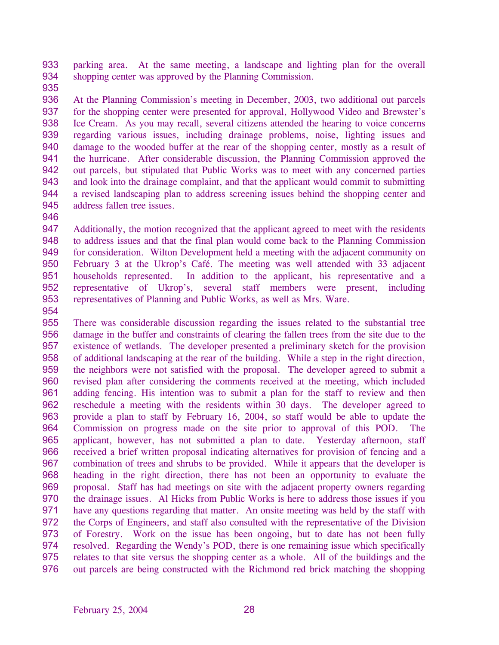933 934 parking area. At the same meeting, a landscape and lighting plan for the overall shopping center was approved by the Planning Commission.

935

936 937 938 939 940 941 942 943 944 945 At the Planning Commission's meeting in December, 2003, two additional out parcels for the shopping center were presented for approval, Hollywood Video and Brewster's Ice Cream. As you may recall, several citizens attended the hearing to voice concerns regarding various issues, including drainage problems, noise, lighting issues and damage to the wooded buffer at the rear of the shopping center, mostly as a result of the hurricane. After considerable discussion, the Planning Commission approved the out parcels, but stipulated that Public Works was to meet with any concerned parties and look into the drainage complaint, and that the applicant would commit to submitting a revised landscaping plan to address screening issues behind the shopping center and address fallen tree issues.

946

947 948 949 950 951 952 953 Additionally, the motion recognized that the applicant agreed to meet with the residents to address issues and that the final plan would come back to the Planning Commission for consideration. Wilton Development held a meeting with the adjacent community on February 3 at the Ukrop's Café. The meeting was well attended with 33 adjacent households represented. In addition to the applicant, his representative and a representative of Ukrop's, several staff members were present, including representatives of Planning and Public Works, as well as Mrs. Ware.

954

955 956 957 958 959 960 961 962 963 964 965 966 967 968 969 970 971 972 973 974 975 976 There was considerable discussion regarding the issues related to the substantial tree damage in the buffer and constraints of clearing the fallen trees from the site due to the existence of wetlands. The developer presented a preliminary sketch for the provision of additional landscaping at the rear of the building. While a step in the right direction, the neighbors were not satisfied with the proposal. The developer agreed to submit a revised plan after considering the comments received at the meeting, which included adding fencing. His intention was to submit a plan for the staff to review and then reschedule a meeting with the residents within 30 days. The developer agreed to provide a plan to staff by February 16, 2004, so staff would be able to update the Commission on progress made on the site prior to approval of this POD. The applicant, however, has not submitted a plan to date. Yesterday afternoon, staff received a brief written proposal indicating alternatives for provision of fencing and a combination of trees and shrubs to be provided. While it appears that the developer is heading in the right direction, there has not been an opportunity to evaluate the proposal. Staff has had meetings on site with the adjacent property owners regarding the drainage issues. Al Hicks from Public Works is here to address those issues if you have any questions regarding that matter. An onsite meeting was held by the staff with the Corps of Engineers, and staff also consulted with the representative of the Division of Forestry. Work on the issue has been ongoing, but to date has not been fully resolved. Regarding the Wendy's POD, there is one remaining issue which specifically relates to that site versus the shopping center as a whole. All of the buildings and the out parcels are being constructed with the Richmond red brick matching the shopping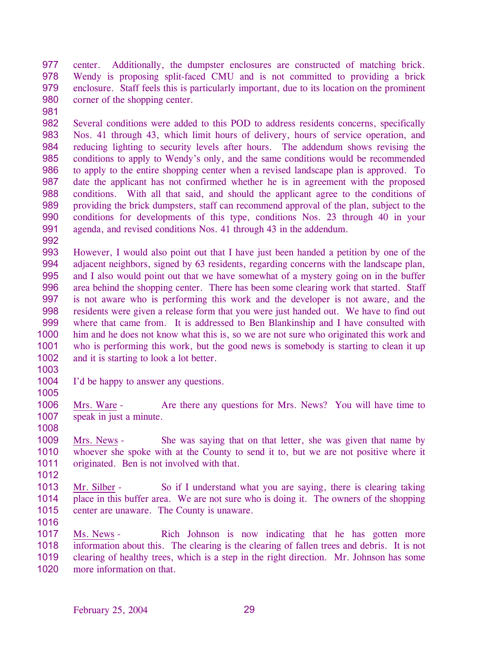977 978 979 980 center. Additionally, the dumpster enclosures are constructed of matching brick. Wendy is proposing split-faced CMU and is not committed to providing a brick enclosure. Staff feels this is particularly important, due to its location on the prominent corner of the shopping center.

- 982 983 984 985 986 987 988 989 990 991 Several conditions were added to this POD to address residents concerns, specifically Nos. 41 through 43, which limit hours of delivery, hours of service operation, and reducing lighting to security levels after hours. The addendum shows revising the conditions to apply to Wendy's only, and the same conditions would be recommended to apply to the entire shopping center when a revised landscape plan is approved. To date the applicant has not confirmed whether he is in agreement with the proposed conditions. With all that said, and should the applicant agree to the conditions of providing the brick dumpsters, staff can recommend approval of the plan, subject to the conditions for developments of this type, conditions Nos. 23 through 40 in your agenda, and revised conditions Nos. 41 through 43 in the addendum.
- 992

981

- 993 994 995 996 997 998 999 1000 1001 1002 However, I would also point out that I have just been handed a petition by one of the adjacent neighbors, signed by 63 residents, regarding concerns with the landscape plan, and I also would point out that we have somewhat of a mystery going on in the buffer area behind the shopping center. There has been some clearing work that started. Staff is not aware who is performing this work and the developer is not aware, and the residents were given a release form that you were just handed out. We have to find out where that came from. It is addressed to Ben Blankinship and I have consulted with him and he does not know what this is, so we are not sure who originated this work and who is performing this work, but the good news is somebody is starting to clean it up and it is starting to look a lot better.
- 1003

1004 I'd be happy to answer any questions.

1005

1006 1007 1008 Mrs. Ware - Are there any questions for Mrs. News? You will have time to speak in just a minute.

1009 1010 1011 Mrs. News - She was saying that on that letter, she was given that name by whoever she spoke with at the County to send it to, but we are not positive where it originated. Ben is not involved with that.

1012

1013 1014 1015 Mr. Silber - So if I understand what you are saying, there is clearing taking place in this buffer area. We are not sure who is doing it. The owners of the shopping center are unaware. The County is unaware.

1016

Ms. News - Rich Johnson is now indicating that he has gotten more information about this. The clearing is the clearing of fallen trees and debris. It is not clearing of healthy trees, which is a step in the right direction. Mr. Johnson has some more information on that. 1017 1018 1019 1020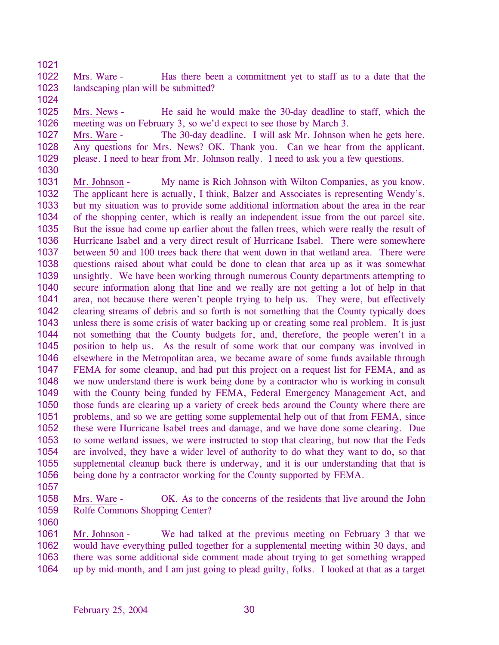1021

1022 1023 Mrs. Ware - Has there been a commitment yet to staff as to a date that the landscaping plan will be submitted?

1024

1025 1026 Mrs. News - He said he would make the 30-day deadline to staff, which the meeting was on February 3, so we'd expect to see those by March 3.

1027 1028 1029 Mrs. Ware - The 30-day deadline. I will ask Mr. Johnson when he gets here. Any questions for Mrs. News? OK. Thank you. Can we hear from the applicant, please. I need to hear from Mr. Johnson really. I need to ask you a few questions.

- 1030 1031 1032 1033 Mr. Johnson - My name is Rich Johnson with Wilton Companies, as you know. The applicant here is actually, I think, Balzer and Associates is representing Wendy's,
- 1034 1035 1036 1037 1038 1039 1040 1041 1042 1043 1044 1045 1046 1047 1048 1049 1050 1051 1052 1053 1054 1055 1056 but my situation was to provide some additional information about the area in the rear of the shopping center, which is really an independent issue from the out parcel site. But the issue had come up earlier about the fallen trees, which were really the result of Hurricane Isabel and a very direct result of Hurricane Isabel. There were somewhere between 50 and 100 trees back there that went down in that wetland area. There were questions raised about what could be done to clean that area up as it was somewhat unsightly. We have been working through numerous County departments attempting to secure information along that line and we really are not getting a lot of help in that area, not because there weren't people trying to help us. They were, but effectively clearing streams of debris and so forth is not something that the County typically does unless there is some crisis of water backing up or creating some real problem. It is just not something that the County budgets for, and, therefore, the people weren't in a position to help us. As the result of some work that our company was involved in elsewhere in the Metropolitan area, we became aware of some funds available through FEMA for some cleanup, and had put this project on a request list for FEMA, and as we now understand there is work being done by a contractor who is working in consult with the County being funded by FEMA, Federal Emergency Management Act, and those funds are clearing up a variety of creek beds around the County where there are problems, and so we are getting some supplemental help out of that from FEMA, since these were Hurricane Isabel trees and damage, and we have done some clearing. Due to some wetland issues, we were instructed to stop that clearing, but now that the Feds are involved, they have a wider level of authority to do what they want to do, so that supplemental cleanup back there is underway, and it is our understanding that that is being done by a contractor working for the County supported by FEMA.
- 1057

1058 1059 1060 Mrs. Ware - OK. As to the concerns of the residents that live around the John Rolfe Commons Shopping Center?

Mr. Johnson - We had talked at the previous meeting on February 3 that we would have everything pulled together for a supplemental meeting within 30 days, and there was some additional side comment made about trying to get something wrapped up by mid-month, and I am just going to plead guilty, folks. I looked at that as a target 1061 1062 1063 1064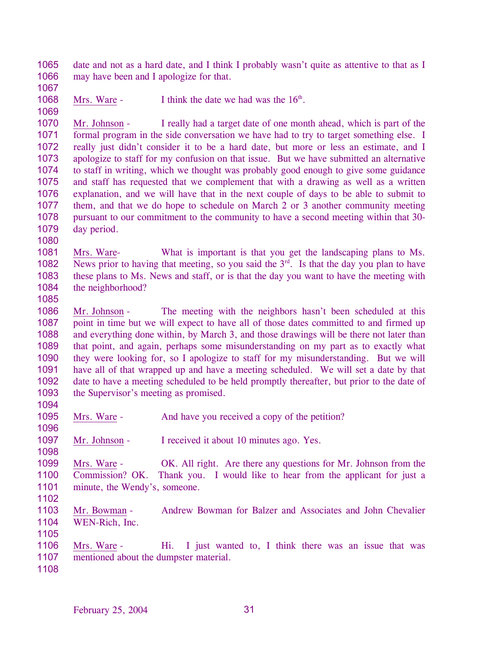1065 1066 date and not as a hard date, and I think I probably wasn't quite as attentive to that as I may have been and I apologize for that.

- 1067
- 1068 1069

Mrs. Ware - I think the date we had was the  $16<sup>th</sup>$ .

1070 1071 1072 1073 1074 1075 1076 1077 1078 1079 Mr. Johnson - I really had a target date of one month ahead, which is part of the formal program in the side conversation we have had to try to target something else. I really just didn't consider it to be a hard date, but more or less an estimate, and I apologize to staff for my confusion on that issue. But we have submitted an alternative to staff in writing, which we thought was probably good enough to give some guidance and staff has requested that we complement that with a drawing as well as a written explanation, and we will have that in the next couple of days to be able to submit to them, and that we do hope to schedule on March 2 or 3 another community meeting pursuant to our commitment to the community to have a second meeting within that 30 day period.

Mrs. Ware- What is important is that you get the landscaping plans to Ms. News prior to having that meeting, so you said the  $3<sup>rd</sup>$ . Is that the day you plan to have 1081 1082 1083 1084 these plans to Ms. News and staff, or is that the day you want to have the meeting with the neighborhood?

1085

1080

1086 1087 1088 1089 1090 1091 1092 1093 1094 Mr. Johnson - The meeting with the neighbors hasn't been scheduled at this point in time but we will expect to have all of those dates committed to and firmed up and everything done within, by March 3, and those drawings will be there not later than that point, and again, perhaps some misunderstanding on my part as to exactly what they were looking for, so I apologize to staff for my misunderstanding. But we will have all of that wrapped up and have a meeting scheduled. We will set a date by that date to have a meeting scheduled to be held promptly thereafter, but prior to the date of the Supervisor's meeting as promised.

1095 Mrs. Ware - And have you received a copy of the petition?

1097 Mr. Johnson - I received it about 10 minutes ago. Yes.

1099 1100 1101 Mrs. Ware - OK. All right. Are there any questions for Mr. Johnson from the Commission? OK. Thank you. I would like to hear from the applicant for just a minute, the Wendy's, someone.

1102

1096

1098

1103 1104 1105 Mr. Bowman - Andrew Bowman for Balzer and Associates and John Chevalier WEN-Rich, Inc.

1106 1107 Mrs. Ware - Hi. I just wanted to, I think there was an issue that was mentioned about the dumpster material.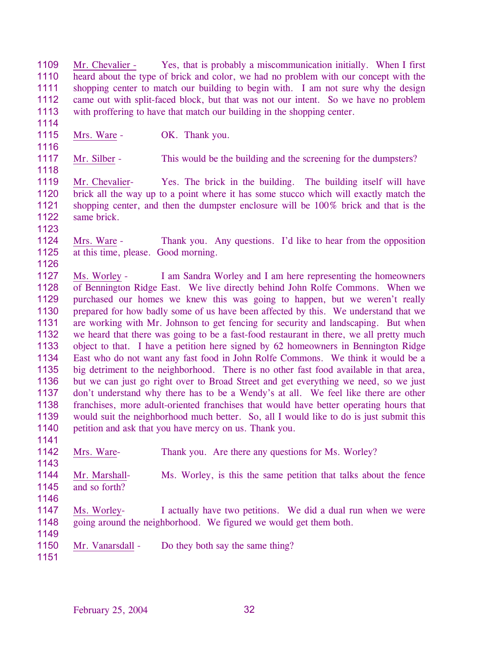1109 1110 1111 1112 1113 Mr. Chevalier - Yes, that is probably a miscommunication initially. When I first heard about the type of brick and color, we had no problem with our concept with the shopping center to match our building to begin with. I am not sure why the design came out with split-faced block, but that was not our intent. So we have no problem with proffering to have that match our building in the shopping center.

1114 1115

1116

1118

Mrs. Ware - OK. Thank you.

1117 Mr. Silber - This would be the building and the screening for the dumpsters?

1119 1120 1121 1122 Mr. Chevalier- Yes. The brick in the building. The building itself will have brick all the way up to a point where it has some stucco which will exactly match the shopping center, and then the dumpster enclosure will be 100% brick and that is the same brick.

1123 1124 1125 Mrs. Ware - Thank you. Any questions. I'd like to hear from the opposition at this time, please. Good morning.

1126 1127 1128 1129 1130 1131 1132 1133 1134 1135 1136 1137 1138 1139 1140 Ms. Worley - I am Sandra Worley and I am here representing the homeowners of Bennington Ridge East. We live directly behind John Rolfe Commons. When we purchased our homes we knew this was going to happen, but we weren't really prepared for how badly some of us have been affected by this. We understand that we are working with Mr. Johnson to get fencing for security and landscaping. But when we heard that there was going to be a fast-food restaurant in there, we all pretty much object to that. I have a petition here signed by 62 homeowners in Bennington Ridge East who do not want any fast food in John Rolfe Commons. We think it would be a big detriment to the neighborhood. There is no other fast food available in that area, but we can just go right over to Broad Street and get everything we need, so we just don't understand why there has to be a Wendy's at all. We feel like there are other franchises, more adult-oriented franchises that would have better operating hours that would suit the neighborhood much better. So, all I would like to do is just submit this petition and ask that you have mercy on us. Thank you.

1142 Mrs. Ware- Thank you. Are there any questions for Ms. Worley?

1144 1145 Mr. Marshall- Ms. Worley, is this the same petition that talks about the fence and so forth?

1146

1141

1143

1147 1148 Ms. Worley- I actually have two petitions. We did a dual run when we were going around the neighborhood. We figured we would get them both.

- 1150 Mr. Vanarsdall - Do they both say the same thing?
- 1151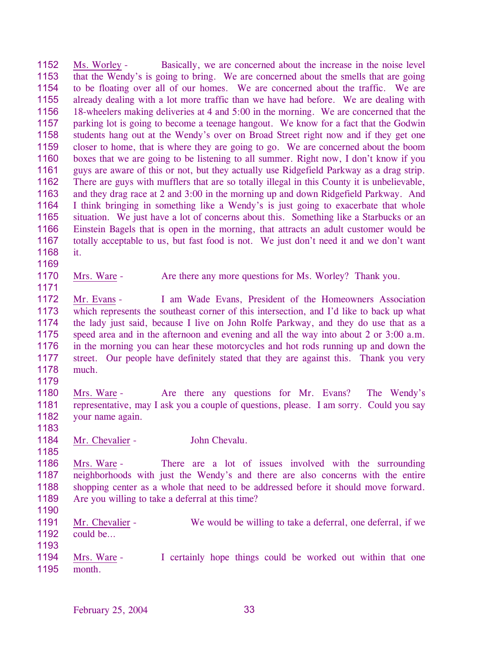1152 1153 1154 1155 1156 1157 1158 1159 1160 1161 1162 1163 1164 1165 1166 1167 1168 Ms. Worley - Basically, we are concerned about the increase in the noise level that the Wendy's is going to bring. We are concerned about the smells that are going to be floating over all of our homes. We are concerned about the traffic. We are already dealing with a lot more traffic than we have had before. We are dealing with 18-wheelers making deliveries at 4 and 5:00 in the morning. We are concerned that the parking lot is going to become a teenage hangout. We know for a fact that the Godwin students hang out at the Wendy's over on Broad Street right now and if they get one closer to home, that is where they are going to go. We are concerned about the boom boxes that we are going to be listening to all summer. Right now, I don't know if you guys are aware of this or not, but they actually use Ridgefield Parkway as a drag strip. There are guys with mufflers that are so totally illegal in this County it is unbelievable, and they drag race at 2 and 3:00 in the morning up and down Ridgefield Parkway. And I think bringing in something like a Wendy's is just going to exacerbate that whole situation. We just have a lot of concerns about this. Something like a Starbucks or an Einstein Bagels that is open in the morning, that attracts an adult customer would be totally acceptable to us, but fast food is not. We just don't need it and we don't want it.

1170 Mrs. Ware - Are there any more questions for Ms. Worley? Thank you.

1172 1173 1174 1175 1176 1177 1178 Mr. Evans - I am Wade Evans, President of the Homeowners Association which represents the southeast corner of this intersection, and I'd like to back up what the lady just said, because I live on John Rolfe Parkway, and they do use that as a speed area and in the afternoon and evening and all the way into about 2 or 3:00 a.m. in the morning you can hear these motorcycles and hot rods running up and down the street. Our people have definitely stated that they are against this. Thank you very much.

1179

1169

1171

1180 1181 1182 Mrs. Ware - Are there any questions for Mr. Evans? The Wendy's representative, may I ask you a couple of questions, please. I am sorry. Could you say your name again.

1183

1185

1184 Mr. Chevalier - John Chevalu.

1186 1187 1188 1189 Mrs. Ware - There are a lot of issues involved with the surrounding neighborhoods with just the Wendy's and there are also concerns with the entire shopping center as a whole that need to be addressed before it should move forward. Are you willing to take a deferral at this time?

1190

1191 1192 1193 Mr. Chevalier - We would be willing to take a deferral, one deferral, if we could be…

Mrs. Ware - I certainly hope things could be worked out within that one month. 1194 1195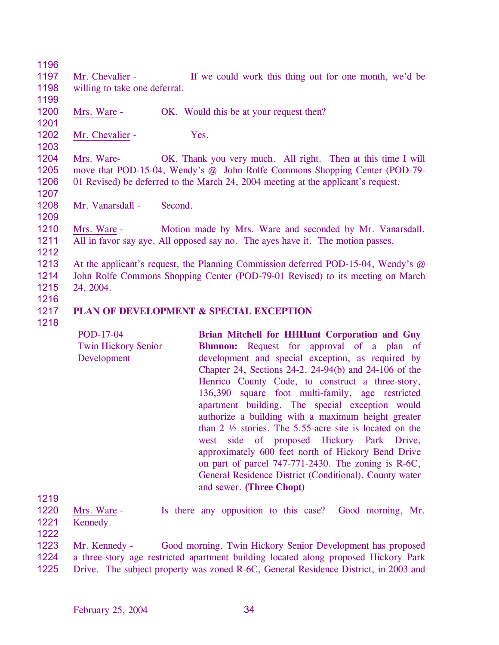1196 1197 1198 1199 Mr. Chevalier - If we could work this thing out for one month, we'd be willing to take one deferral. 1200 1201 Mrs. Ware - OK. Would this be at your request then? 1202 1203 Mr. Chevalier - Yes. 1204 1205 1206 1207 Mrs. Ware- OK. Thank you very much. All right. Then at this time I will move that POD-15-04, Wendy's @ John Rolfe Commons Shopping Center (POD-79- 01 Revised) be deferred to the March 24, 2004 meeting at the applicant's request. 1208 1209 Mr. Vanarsdall - Second. 1210 1211 1212 1213 1214 1215 1216 1217 1218 Mrs. Ware - Motion made by Mrs. Ware and seconded by Mr. Vanarsdall. All in favor say aye. All opposed say no. The ayes have it. The motion passes. At the applicant's request, the Planning Commission deferred POD-15-04, Wendy's @ John Rolfe Commons Shopping Center (POD-79-01 Revised) to its meeting on March 24, 2004. **PLAN OF DEVELOPMENT & SPECIAL EXCEPTION** 

- POD-17-04 Twin Hickory Senior Development **Brian Mitchell for HHHunt Corporation and Guy Blunnon:** Request for approval of a plan of development and special exception, as required by Chapter 24, Sections 24-2, 24-94(b) and 24-106 of the Henrico County Code, to construct a three-story, 136,390 square foot multi-family, age restricted apartment building. The special exception would authorize a building with a maximum height greater than 2 ½ stories. The 5.55-acre site is located on the west side of proposed Hickory Park Drive, approximately 600 feet north of Hickory Bend Drive on part of parcel 747-771-2430. The zoning is R-6C, General Residence District (Conditional). County water and sewer. **(Three Chopt)**
- 1219

1220 1221 Mrs. Ware - Is there any opposition to this case? Good morning, Mr. Kennedy.

- 1222 Mr. Kennedy **-** Good morning. Twin Hickory Senior Development has proposed a three-story age restricted apartment building located along proposed Hickory Park 1223 1224
- Drive. The subject property was zoned R-6C, General Residence District, in 2003 and 1225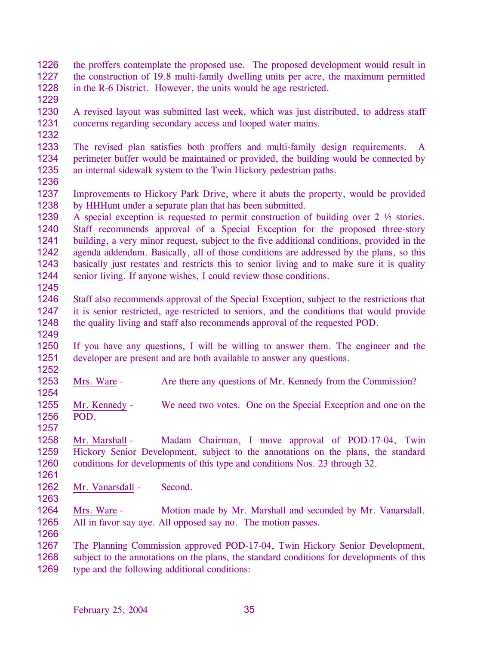1226 1227 1228 the proffers contemplate the proposed use. The proposed development would result in the construction of 19.8 multi-family dwelling units per acre, the maximum permitted in the R-6 District. However, the units would be age restricted.

1229

1230 1231 A revised layout was submitted last week, which was just distributed, to address staff concerns regarding secondary access and looped water mains.

1232

1233 1234 1235 The revised plan satisfies both proffers and multi-family design requirements. A perimeter buffer would be maintained or provided, the building would be connected by an internal sidewalk system to the Twin Hickory pedestrian paths.

1236

1237 1238 Improvements to Hickory Park Drive, where it abuts the property, would be provided by HHHunt under a separate plan that has been submitted.

1239 1240 1241 1242 1243 1244 A special exception is requested to permit construction of building over 2 ½ stories. Staff recommends approval of a Special Exception for the proposed three-story building, a very minor request, subject to the five additional conditions, provided in the agenda addendum. Basically, all of those conditions are addressed by the plans, so this basically just restates and restricts this to senior living and to make sure it is quality senior living. If anyone wishes, I could review those conditions.

1245

1246 1247 1248 1249 Staff also recommends approval of the Special Exception, subject to the restrictions that it is senior restricted, age-restricted to seniors, and the conditions that would provide the quality living and staff also recommends approval of the requested POD.

1250 1251 1252 If you have any questions, I will be willing to answer them. The engineer and the developer are present and are both available to answer any questions.

1253 Mrs. Ware - Are there any questions of Mr. Kennedy from the Commission?

1255 1256 Mr. Kennedy - We need two votes. One on the Special Exception and one on the POD.

1258 1259 1260 Mr. Marshall - Madam Chairman, I move approval of POD-17-04, Twin Hickory Senior Development, subject to the annotations on the plans, the standard conditions for developments of this type and conditions Nos. 23 through 32.

1261 1262

1254

1257

Mr. Vanarsdall - Second.

1263

1266

1264 1265 Mrs. Ware - Motion made by Mr. Marshall and seconded by Mr. Vanarsdall. All in favor say aye. All opposed say no. The motion passes.

1267 1268 1269 The Planning Commission approved POD-17-04, Twin Hickory Senior Development, subject to the annotations on the plans, the standard conditions for developments of this type and the following additional conditions: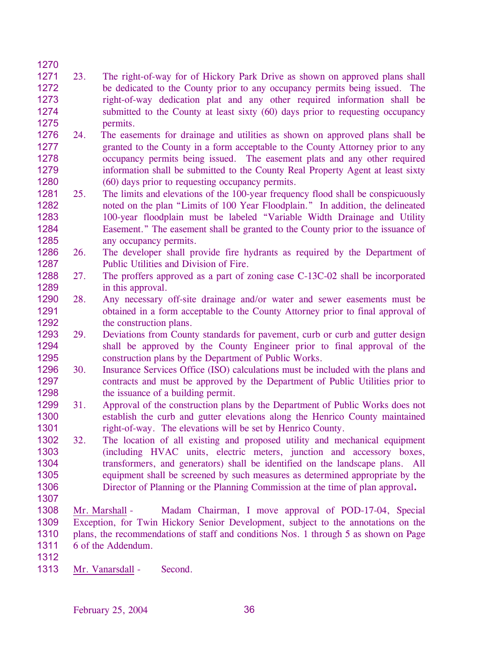## 1271 1272 1273 1274 1275 23. The right-of-way for of Hickory Park Drive as shown on approved plans shall be dedicated to the County prior to any occupancy permits being issued. The right-of-way dedication plat and any other required information shall be submitted to the County at least sixty (60) days prior to requesting occupancy permits.

- 1276 1277 1278 1279 1280 24. The easements for drainage and utilities as shown on approved plans shall be granted to the County in a form acceptable to the County Attorney prior to any occupancy permits being issued. The easement plats and any other required information shall be submitted to the County Real Property Agent at least sixty (60) days prior to requesting occupancy permits.
- 1281 1282 1283 1284 1285 25. The limits and elevations of the 100-year frequency flood shall be conspicuously noted on the plan "Limits of 100 Year Floodplain." In addition, the delineated 100-year floodplain must be labeled "Variable Width Drainage and Utility Easement." The easement shall be granted to the County prior to the issuance of any occupancy permits.
- 1286 1287 26. The developer shall provide fire hydrants as required by the Department of Public Utilities and Division of Fire.
- 1288 1289 27. The proffers approved as a part of zoning case C-13C-02 shall be incorporated in this approval.
- 1290 1291 1292 28. Any necessary off-site drainage and/or water and sewer easements must be obtained in a form acceptable to the County Attorney prior to final approval of the construction plans.
- 1293 1294 1295 29. Deviations from County standards for pavement, curb or curb and gutter design shall be approved by the County Engineer prior to final approval of the construction plans by the Department of Public Works.
- 1296 1297 1298 30. Insurance Services Office (ISO) calculations must be included with the plans and contracts and must be approved by the Department of Public Utilities prior to the issuance of a building permit.
- 1299 1300 1301 31. Approval of the construction plans by the Department of Public Works does not establish the curb and gutter elevations along the Henrico County maintained right-of-way. The elevations will be set by Henrico County.
- 1302 1303 1304 1305 1306 32. The location of all existing and proposed utility and mechanical equipment (including HVAC units, electric meters, junction and accessory boxes, transformers, and generators) shall be identified on the landscape plans. All equipment shall be screened by such measures as determined appropriate by the Director of Planning or the Planning Commission at the time of plan approval**.**
- 1307

1270

1308 1309 1310 1311 Mr. Marshall - Madam Chairman, I move approval of POD-17-04, Special Exception, for Twin Hickory Senior Development, subject to the annotations on the plans, the recommendations of staff and conditions Nos. 1 through 5 as shown on Page 6 of the Addendum.

- 1312
- 1313 Mr. Vanarsdall Second.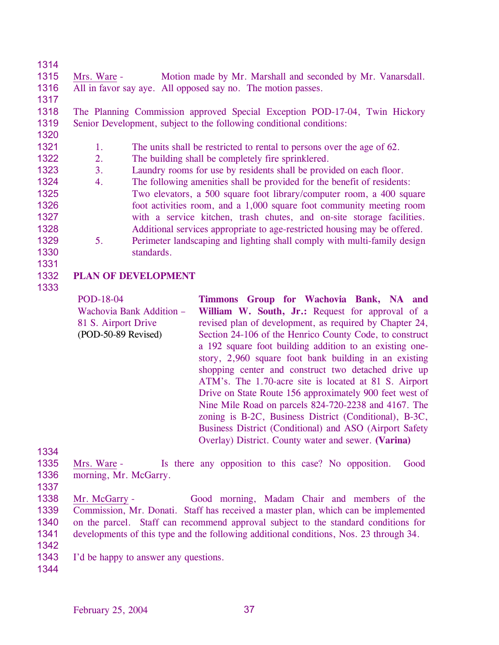1314 1315 1316 1317 1318 1319 1320 1321 1322 1323 1324 1325 1326 1327 1328 1329 1330 1331 Mrs. Ware - Motion made by Mr. Marshall and seconded by Mr. Vanarsdall. All in favor say aye. All opposed say no. The motion passes. The Planning Commission approved Special Exception POD-17-04, Twin Hickory Senior Development, subject to the following conditional conditions: 1. The units shall be restricted to rental to persons over the age of 62. 2. The building shall be completely fire sprinklered. 3. Laundry rooms for use by residents shall be provided on each floor. 4. The following amenities shall be provided for the benefit of residents: Two elevators, a 500 square foot library/computer room, a 400 square foot activities room, and a 1,000 square foot community meeting room with a service kitchen, trash chutes, and on-site storage facilities. Additional services appropriate to age-restricted housing may be offered. 5. Perimeter landscaping and lighting shall comply with multi-family design standards.

- 1332 **PLAN OF DEVELOPMENT**
- 1333

POD-18-04 Wachovia Bank Addition – 81 S. Airport Drive (POD-50-89 Revised) **Timmons Group for Wachovia Bank, NA and**  William W. South, Jr.: Request for approval of a revised plan of development, as required by Chapter 24, Section 24-106 of the Henrico County Code, to construct a 192 square foot building addition to an existing onestory, 2,960 square foot bank building in an existing shopping center and construct two detached drive up ATM's. The 1.70-acre site is located at 81 S. Airport Drive on State Route 156 approximately 900 feet west of Nine Mile Road on parcels 824-720-2238 and 4167. The zoning is B-2C, Business District (Conditional), B-3C, Business District (Conditional) and ASO (Airport Safety Overlay) District. County water and sewer. **(Varina)** 

- 1335 1336 Mrs. Ware - Is there any opposition to this case? No opposition. Good morning, Mr. McGarry.
- 1337
- 1338 1339 1340 1341 Mr. McGarry - Good morning, Madam Chair and members of the Commission, Mr. Donati. Staff has received a master plan, which can be implemented on the parcel. Staff can recommend approval subject to the standard conditions for developments of this type and the following additional conditions, Nos. 23 through 34.
- 1342
- 1343 I'd be happy to answer any questions.
- 1344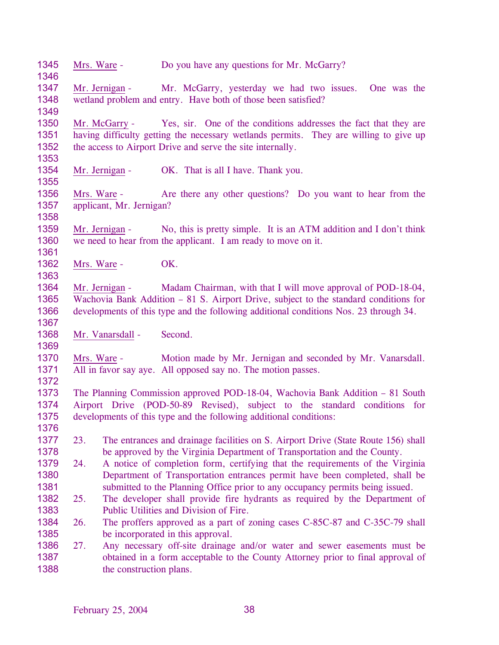| 1345<br>1346                 | Mrs. Ware - |                          | Do you have any questions for Mr. McGarry?                                                                                                                                                                                                    |
|------------------------------|-------------|--------------------------|-----------------------------------------------------------------------------------------------------------------------------------------------------------------------------------------------------------------------------------------------|
| 1347<br>1348<br>1349         |             | Mr. Jernigan -           | Mr. McGarry, yesterday we had two issues.<br>One was the<br>wetland problem and entry. Have both of those been satisfied?                                                                                                                     |
| 1350<br>1351<br>1352         |             | Mr. McGarry -            | Yes, sir. One of the conditions addresses the fact that they are<br>having difficulty getting the necessary wetlands permits. They are willing to give up<br>the access to Airport Drive and serve the site internally.                       |
| 1353<br>1354<br>1355         |             | Mr. Jernigan -           | OK. That is all I have. Thank you.                                                                                                                                                                                                            |
| 1356<br>1357<br>1358         | Mrs. Ware - | applicant, Mr. Jernigan? | Are there any other questions? Do you want to hear from the                                                                                                                                                                                   |
| 1359<br>1360<br>1361         |             | Mr. Jernigan -           | No, this is pretty simple. It is an ATM addition and I don't think<br>we need to hear from the applicant. I am ready to move on it.                                                                                                           |
| 1362<br>1363                 | Mrs. Ware - |                          | OK.                                                                                                                                                                                                                                           |
| 1364<br>1365<br>1366<br>1367 |             | Mr. Jernigan -           | Madam Chairman, with that I will move approval of POD-18-04,<br>Wachovia Bank Addition - 81 S. Airport Drive, subject to the standard conditions for<br>developments of this type and the following additional conditions Nos. 23 through 34. |
| 1368<br>1369                 |             | Mr. Vanarsdall -         | Second.                                                                                                                                                                                                                                       |
| 1370<br>1371<br>1372         | Mrs. Ware - |                          | Motion made by Mr. Jernigan and seconded by Mr. Vanarsdall.<br>All in favor say aye. All opposed say no. The motion passes.                                                                                                                   |
| 1373<br>1374<br>1375<br>1376 |             |                          | The Planning Commission approved POD-18-04, Wachovia Bank Addition – 81 South<br>Airport Drive (POD-50-89 Revised), subject to the standard conditions for<br>developments of this type and the following additional conditions:              |
| 1377<br>1378                 | 23.         |                          | The entrances and drainage facilities on S. Airport Drive (State Route 156) shall<br>be approved by the Virginia Department of Transportation and the County.                                                                                 |
| 1379<br>1380<br>1381         | 24.         |                          | A notice of completion form, certifying that the requirements of the Virginia<br>Department of Transportation entrances permit have been completed, shall be<br>submitted to the Planning Office prior to any occupancy permits being issued. |
| 1382<br>1383                 | 25.         |                          | The developer shall provide fire hydrants as required by the Department of<br>Public Utilities and Division of Fire.                                                                                                                          |
| 1384<br>1385                 | 26.         |                          | The proffers approved as a part of zoning cases C-85C-87 and C-35C-79 shall<br>be incorporated in this approval.                                                                                                                              |
| 1386<br>1387<br>1388         | 27.         | the construction plans.  | Any necessary off-site drainage and/or water and sewer easements must be<br>obtained in a form acceptable to the County Attorney prior to final approval of                                                                                   |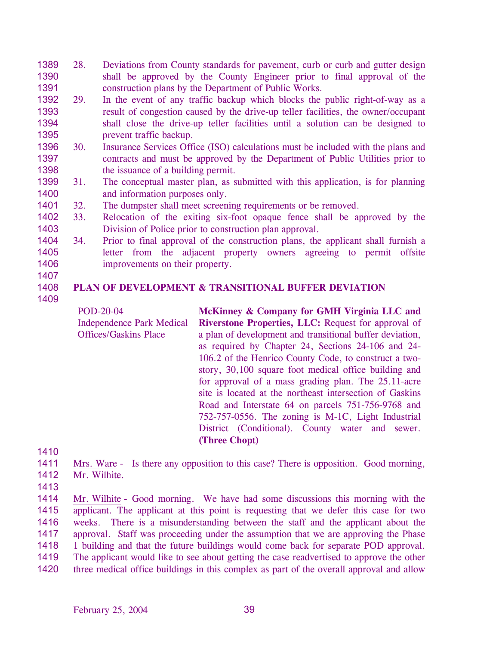- 1389 1390 1391 28. Deviations from County standards for pavement, curb or curb and gutter design shall be approved by the County Engineer prior to final approval of the construction plans by the Department of Public Works.
- 1392 1393 1394 1395 29. In the event of any traffic backup which blocks the public right-of-way as a result of congestion caused by the drive-up teller facilities, the owner/occupant shall close the drive-up teller facilities until a solution can be designed to prevent traffic backup.
- 1396 1397 1398 30. Insurance Services Office (ISO) calculations must be included with the plans and contracts and must be approved by the Department of Public Utilities prior to the issuance of a building permit.
- 1399 31. The conceptual master plan, as submitted with this application, is for planning 1400 and information purposes only.
- 1401 32. The dumpster shall meet screening requirements or be removed.
- 1402 1403 33. Relocation of the exiting six-foot opaque fence shall be approved by the Division of Police prior to construction plan approval.
- 1404 1405 1406 34. Prior to final approval of the construction plans, the applicant shall furnish a letter from the adjacent property owners agreeing to permit offsite improvements on their property.
- 1407
- 1408

## **PLAN OF DEVELOPMENT & TRANSITIONAL BUFFER DEVIATION**

1409

POD-20-04 Independence Park Medical Offices/Gaskins Place

**McKinney & Company for GMH Virginia LLC and Riverstone Properties, LLC:** Request for approval of a plan of development and transitional buffer deviation, as required by Chapter 24, Sections 24-106 and 24- 106.2 of the Henrico County Code, to construct a twostory, 30,100 square foot medical office building and for approval of a mass grading plan. The 25.11-acre site is located at the northeast intersection of Gaskins Road and Interstate 64 on parcels 751-756-9768 and 752-757-0556. The zoning is M-1C, Light Industrial District (Conditional). County water and sewer. **(Three Chopt)** 

- 1410
- 1411 1412 Mrs. Ware - Is there any opposition to this case? There is opposition. Good morning, Mr. Wilhite.
- 

1413

Mr. Wilhite - Good morning. We have had some discussions this morning with the applicant. The applicant at this point is requesting that we defer this case for two weeks. There is a misunderstanding between the staff and the applicant about the approval. Staff was proceeding under the assumption that we are approving the Phase 1 building and that the future buildings would come back for separate POD approval. The applicant would like to see about getting the case readvertised to approve the other three medical office buildings in this complex as part of the overall approval and allow 1414 1415 1416 1417 1418 1419 1420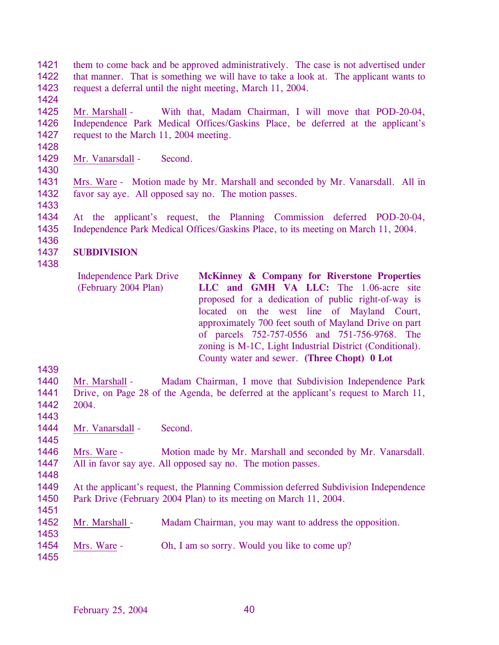- 1421 1422 1423 them to come back and be approved administratively. The case is not advertised under that manner. That is something we will have to take a look at. The applicant wants to request a deferral until the night meeting, March 11, 2004.
- 1425 1426 1427 Mr. Marshall - With that, Madam Chairman, I will move that POD-20-04, Independence Park Medical Offices/Gaskins Place, be deferred at the applicant's request to the March 11, 2004 meeting.
- 1429 Mr. Vanarsdall - Second.

1431 1432 Mrs. Ware - Motion made by Mr. Marshall and seconded by Mr. Vanarsdall. All in favor say aye. All opposed say no. The motion passes.

1433

1424

1428

1430

1434 1435 At the applicant's request, the Planning Commission deferred POD-20-04, Independence Park Medical Offices/Gaskins Place, to its meeting on March 11, 2004.

### 1437 **SUBDIVISION**

1438

1436

| <b>Independence Park Drive</b> | McKinney & Company for Riverstone Properties             |
|--------------------------------|----------------------------------------------------------|
| (February 2004 Plan)           | LLC and GMH VA LLC: The 1.06-acre site                   |
|                                | proposed for a dedication of public right-of-way is      |
|                                | located on the west line of Mayland Court,               |
|                                | approximately 700 feet south of Mayland Drive on part    |
|                                | of parcels 752-757-0556 and 751-756-9768. The            |
|                                | zoning is M-1C, Light Industrial District (Conditional). |
|                                | County water and sewer. (Three Chopt) 0 Lot              |

1439

1440 1441 1442 Mr. Marshall - Madam Chairman, I move that Subdivision Independence Park Drive, on Page 28 of the Agenda, be deferred at the applicant's request to March 11, 2004.

- 1443
- 1444 1445 Mr. Vanarsdall - Second.

1446 1447 Mrs. Ware - Motion made by Mr. Marshall and seconded by Mr. Vanarsdall. All in favor say aye. All opposed say no. The motion passes.

- 1448 1449 1450 At the applicant's request, the Planning Commission deferred Subdivision Independence Park Drive (February 2004 Plan) to its meeting on March 11, 2004.
- 1452 Mr. Marshall - Madam Chairman, you may want to address the opposition.
- 1454 Mrs. Ware - Oh, I am so sorry. Would you like to come up?
- 1455

1451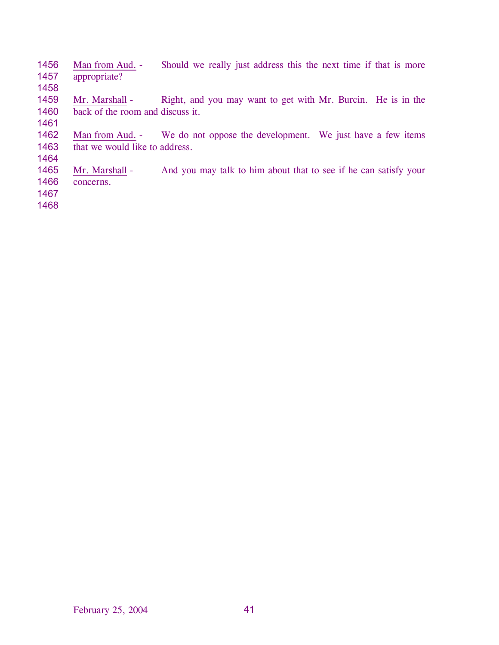| 1456 | Man from Aud. -                  | Should we really just address this the next time if that is more           |
|------|----------------------------------|----------------------------------------------------------------------------|
| 1457 | appropriate?                     |                                                                            |
| 1458 |                                  |                                                                            |
| 1459 | Mr. Marshall -                   | Right, and you may want to get with Mr. Burcin. He is in the               |
| 1460 | back of the room and discuss it. |                                                                            |
| 1461 |                                  |                                                                            |
| 1462 |                                  | Man from Aud. - We do not oppose the development. We just have a few items |
| 1463 | that we would like to address.   |                                                                            |
| 1464 |                                  |                                                                            |
| 1465 | Mr. Marshall -                   | And you may talk to him about that to see if he can satisfy your           |
| 1466 | concerns.                        |                                                                            |
| 1467 |                                  |                                                                            |
| 1468 |                                  |                                                                            |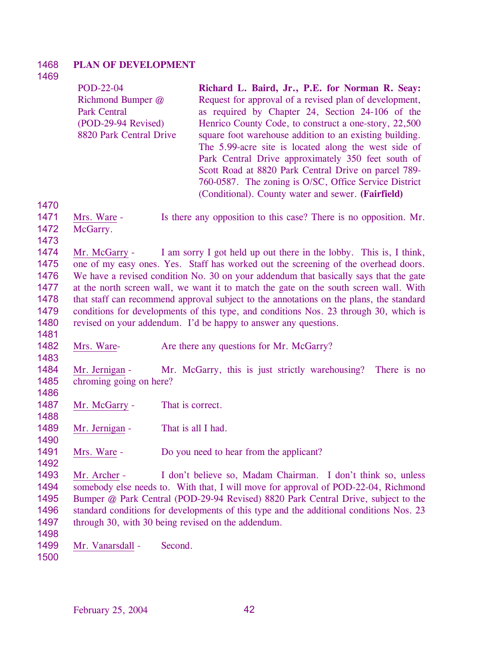#### 1468 **PLAN OF DEVELOPMENT**

## 1469

| POD-22-04               | Richard L. Baird, Jr., P.E. for Norman R. Seay:         |
|-------------------------|---------------------------------------------------------|
| Richmond Bumper @       | Request for approval of a revised plan of development,  |
| <b>Park Central</b>     | as required by Chapter 24, Section 24-106 of the        |
| (POD-29-94 Revised)     | Henrico County Code, to construct a one-story, 22,500   |
| 8820 Park Central Drive | square foot warehouse addition to an existing building. |
|                         | The 5.99-acre site is located along the west side of    |
|                         | Park Central Drive approximately 350 feet south of      |
|                         | Scott Road at 8820 Park Central Drive on parcel 789-    |
|                         | 760-0587. The zoning is O/SC, Office Service District   |
|                         | (Conditional). County water and sewer. (Fairfield)      |

1471 1472 Mrs. Ware - Is there any opposition to this case? There is no opposition. Mr. McGarry.

1473

1481

1483

1486

1488

1490

1492

1470

1474 1475 1476 1477 1478 1479 1480 Mr. McGarry - I am sorry I got held up out there in the lobby. This is, I think, one of my easy ones. Yes. Staff has worked out the screening of the overhead doors. We have a revised condition No. 30 on your addendum that basically says that the gate at the north screen wall, we want it to match the gate on the south screen wall. With that staff can recommend approval subject to the annotations on the plans, the standard conditions for developments of this type, and conditions Nos. 23 through 30, which is revised on your addendum. I'd be happy to answer any questions.

1482 Mrs. Ware- **Are there any questions for Mr. McGarry?** 

1484 1485 Mr. Jernigan - Mr. McGarry, this is just strictly warehousing? There is no chroming going on here?

1487 Mr. McGarry - That is correct.

1489 Mr. Jernigan - That is all I had.

1491 Mrs. Ware - Do you need to hear from the applicant?

1493 1494 1495 1496 1497 Mr. Archer - I don't believe so, Madam Chairman. I don't think so, unless somebody else needs to. With that, I will move for approval of POD-22-04, Richmond Bumper @ Park Central (POD-29-94 Revised) 8820 Park Central Drive, subject to the standard conditions for developments of this type and the additional conditions Nos. 23 through 30, with 30 being revised on the addendum.

1499 Mr. Vanarsdall - Second.

1500

1498

February 25, 2004 42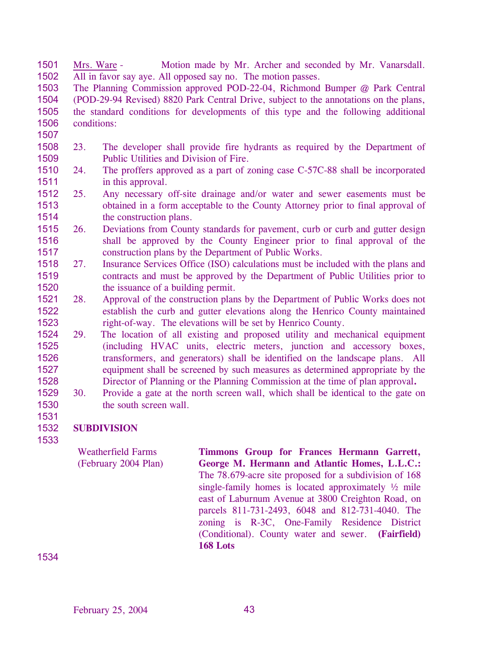1501 1502 Mrs. Ware - Motion made by Mr. Archer and seconded by Mr. Vanarsdall. All in favor say aye. All opposed say no. The motion passes.

1503 1504 1505 1506 The Planning Commission approved POD-22-04, Richmond Bumper @ Park Central (POD-29-94 Revised) 8820 Park Central Drive, subject to the annotations on the plans, the standard conditions for developments of this type and the following additional conditions:

- 1507
- 1508 1509 23. The developer shall provide fire hydrants as required by the Department of Public Utilities and Division of Fire.
- 1510 1511 24. The proffers approved as a part of zoning case C-57C-88 shall be incorporated in this approval.
- 1512 1513 1514 25. Any necessary off-site drainage and/or water and sewer easements must be obtained in a form acceptable to the County Attorney prior to final approval of the construction plans.
- 1515 1516 1517 26. Deviations from County standards for pavement, curb or curb and gutter design shall be approved by the County Engineer prior to final approval of the construction plans by the Department of Public Works.
- 1518 1519 1520 27. Insurance Services Office (ISO) calculations must be included with the plans and contracts and must be approved by the Department of Public Utilities prior to the issuance of a building permit.
- 1521 1522 1523 28. Approval of the construction plans by the Department of Public Works does not establish the curb and gutter elevations along the Henrico County maintained right-of-way. The elevations will be set by Henrico County.
- 1524 1525 1526 1527 1528 29. The location of all existing and proposed utility and mechanical equipment (including HVAC units, electric meters, junction and accessory boxes, transformers, and generators) shall be identified on the landscape plans. All equipment shall be screened by such measures as determined appropriate by the Director of Planning or the Planning Commission at the time of plan approval**.**
- 1529 1530 30. Provide a gate at the north screen wall, which shall be identical to the gate on the south screen wall.
- 1531 1532

## 1533 **SUBDIVISION**

Weatherfield Farms (February 2004 Plan)

**Timmons Group for Frances Hermann Garrett, George M. Hermann and Atlantic Homes, L.L.C.:**  The 78.679-acre site proposed for a subdivision of 168 single-family homes is located approximately ½ mile east of Laburnum Avenue at 3800 Creighton Road, on parcels 811-731-2493, 6048 and 812-731-4040. The zoning is R-3C, One-Family Residence District (Conditional). County water and sewer. **(Fairfield) 168 Lots**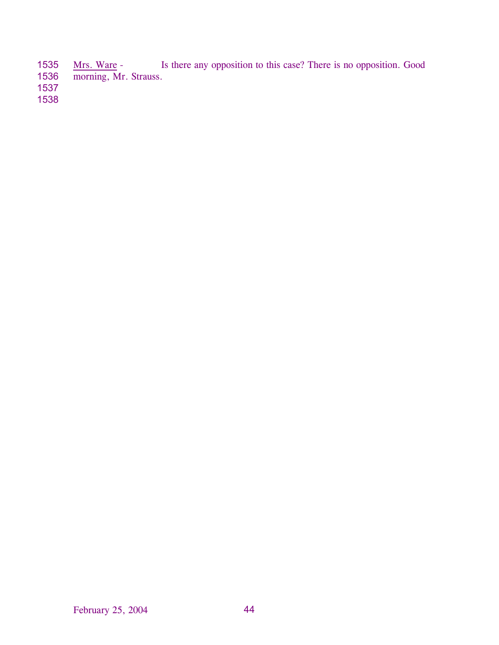- 1535 1536 Mrs. Ware - Is there any opposition to this case? There is no opposition. Good morning, Mr. Strauss.
- 
- 1537 1538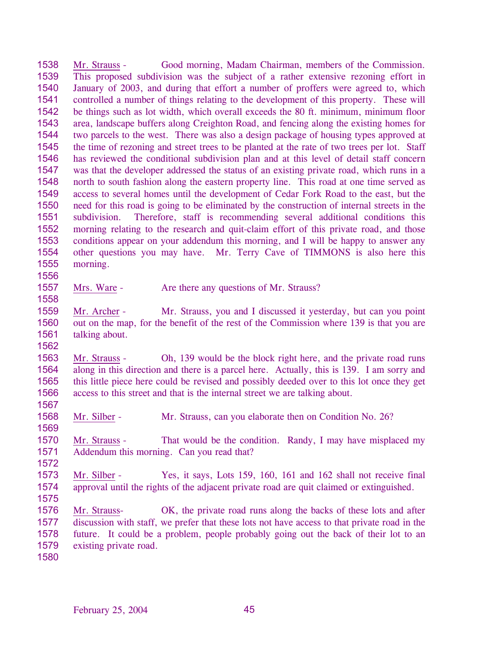1538 1539 1540 1541 1542 1543 1544 1545 1546 1547 1548 1549 1550 1551 1552 1553 1554 1555 1556 Mr. Strauss - Good morning, Madam Chairman, members of the Commission. This proposed subdivision was the subject of a rather extensive rezoning effort in January of 2003, and during that effort a number of proffers were agreed to, which controlled a number of things relating to the development of this property. These will be things such as lot width, which overall exceeds the 80 ft. minimum, minimum floor area, landscape buffers along Creighton Road, and fencing along the existing homes for two parcels to the west. There was also a design package of housing types approved at the time of rezoning and street trees to be planted at the rate of two trees per lot. Staff has reviewed the conditional subdivision plan and at this level of detail staff concern was that the developer addressed the status of an existing private road, which runs in a north to south fashion along the eastern property line. This road at one time served as access to several homes until the development of Cedar Fork Road to the east, but the need for this road is going to be eliminated by the construction of internal streets in the subdivision. Therefore, staff is recommending several additional conditions this morning relating to the research and quit-claim effort of this private road, and those conditions appear on your addendum this morning, and I will be happy to answer any other questions you may have. Mr. Terry Cave of TIMMONS is also here this morning.

- 1557 Mrs. Ware - Are there any questions of Mr. Strauss?
- 1559 1560 1561 Mr. Archer - Mr. Strauss, you and I discussed it yesterday, but can you point out on the map, for the benefit of the rest of the Commission where 139 is that you are talking about.

1563 1564 1565 1566 Mr. Strauss - Oh, 139 would be the block right here, and the private road runs along in this direction and there is a parcel here. Actually, this is 139. I am sorry and this little piece here could be revised and possibly deeded over to this lot once they get access to this street and that is the internal street we are talking about.

1568 Mr. Silber - Mr. Strauss, can you elaborate then on Condition No. 26?

1570 1571 Mr. Strauss - That would be the condition. Randy, I may have misplaced my Addendum this morning. Can you read that?

1572

1558

1562

1567

1569

- 1573 1574 Mr. Silber - Yes, it says, Lots 159, 160, 161 and 162 shall not receive final approval until the rights of the adjacent private road are quit claimed or extinguished.
- 1575

1576 1577 1578 1579 Mr. Strauss- OK, the private road runs along the backs of these lots and after discussion with staff, we prefer that these lots not have access to that private road in the future. It could be a problem, people probably going out the back of their lot to an existing private road.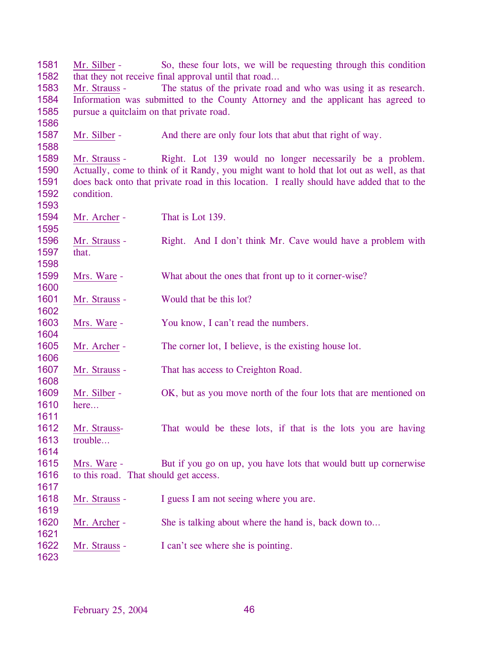| 1581 | Mr. Silber -                                                                              | So, these four lots, we will be requesting through this condition                |  |  |  |
|------|-------------------------------------------------------------------------------------------|----------------------------------------------------------------------------------|--|--|--|
| 1582 | that they not receive final approval until that road                                      |                                                                                  |  |  |  |
| 1583 | Mr. Strauss -                                                                             | The status of the private road and who was using it as research.                 |  |  |  |
| 1584 |                                                                                           | Information was submitted to the County Attorney and the applicant has agreed to |  |  |  |
| 1585 | pursue a quitclaim on that private road.                                                  |                                                                                  |  |  |  |
| 1586 |                                                                                           |                                                                                  |  |  |  |
| 1587 | Mr. Silber -                                                                              | And there are only four lots that abut that right of way.                        |  |  |  |
| 1588 |                                                                                           |                                                                                  |  |  |  |
| 1589 | Mr. Strauss -                                                                             | Right. Lot 139 would no longer necessarily be a problem.                         |  |  |  |
| 1590 | Actually, come to think of it Randy, you might want to hold that lot out as well, as that |                                                                                  |  |  |  |
| 1591 | does back onto that private road in this location. I really should have added that to the |                                                                                  |  |  |  |
| 1592 | condition.                                                                                |                                                                                  |  |  |  |
| 1593 |                                                                                           |                                                                                  |  |  |  |
| 1594 | Mr. Archer -                                                                              | That is Lot 139.                                                                 |  |  |  |
| 1595 |                                                                                           |                                                                                  |  |  |  |
| 1596 | Mr. Strauss -                                                                             | Right. And I don't think Mr. Cave would have a problem with                      |  |  |  |
| 1597 | that.                                                                                     |                                                                                  |  |  |  |
| 1598 |                                                                                           |                                                                                  |  |  |  |
| 1599 | Mrs. Ware -                                                                               | What about the ones that front up to it corner-wise?                             |  |  |  |
| 1600 |                                                                                           |                                                                                  |  |  |  |
| 1601 | Mr. Strauss -                                                                             | Would that be this lot?                                                          |  |  |  |
| 1602 |                                                                                           |                                                                                  |  |  |  |
| 1603 | Mrs. Ware -                                                                               | You know, I can't read the numbers.                                              |  |  |  |
| 1604 |                                                                                           |                                                                                  |  |  |  |
| 1605 | Mr. Archer -                                                                              | The corner lot, I believe, is the existing house lot.                            |  |  |  |
| 1606 |                                                                                           |                                                                                  |  |  |  |
| 1607 | Mr. Strauss -                                                                             | That has access to Creighton Road.                                               |  |  |  |
| 1608 |                                                                                           |                                                                                  |  |  |  |
| 1609 | Mr. Silber -                                                                              | OK, but as you move north of the four lots that are mentioned on                 |  |  |  |
| 1610 | here                                                                                      |                                                                                  |  |  |  |
| 1611 |                                                                                           |                                                                                  |  |  |  |
| 1612 | Mr. Strauss-                                                                              | That would be these lots, if that is the lots you are having                     |  |  |  |
| 1613 | trouble                                                                                   |                                                                                  |  |  |  |
| 1614 |                                                                                           |                                                                                  |  |  |  |
| 1615 | Mrs. Ware -                                                                               | But if you go on up, you have lots that would butt up cornerwise                 |  |  |  |
| 1616 | to this road. That should get access.                                                     |                                                                                  |  |  |  |
| 1617 |                                                                                           |                                                                                  |  |  |  |
| 1618 | Mr. Strauss -                                                                             | I guess I am not seeing where you are.                                           |  |  |  |
| 1619 |                                                                                           |                                                                                  |  |  |  |
| 1620 | Mr. Archer -                                                                              | She is talking about where the hand is, back down to                             |  |  |  |
| 1621 |                                                                                           |                                                                                  |  |  |  |
| 1622 | Mr. Strauss -                                                                             | I can't see where she is pointing.                                               |  |  |  |
| 1623 |                                                                                           |                                                                                  |  |  |  |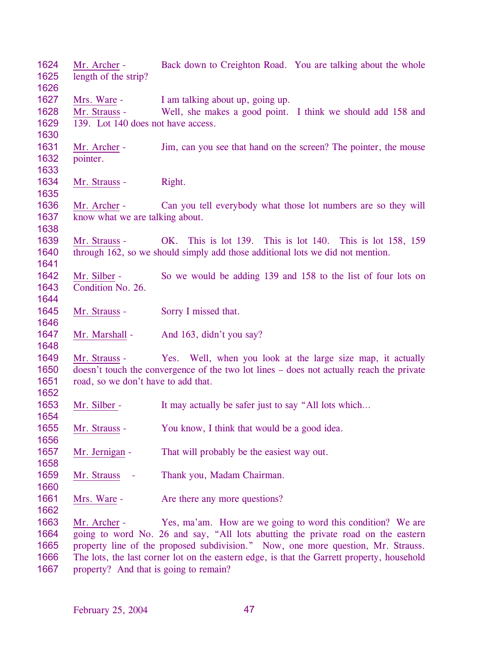Mr. Archer - Back down to Creighton Road. You are talking about the whole length of the strip? Mrs. Ware - I am talking about up, going up. Mr. Strauss - Well, she makes a good point. I think we should add 158 and 139. Lot 140 does not have access. Mr. Archer - Jim, can you see that hand on the screen? The pointer, the mouse pointer. Mr. Strauss - Right. Mr. Archer - Can you tell everybody what those lot numbers are so they will know what we are talking about. Mr. Strauss - OK. This is lot 139. This is lot 140. This is lot 158, 159 through 162, so we should simply add those additional lots we did not mention. Mr. Silber - So we would be adding 139 and 158 to the list of four lots on Condition No. 26. Mr. Strauss - Sorry I missed that. Mr. Marshall - And 163, didn't you say? Mr. Strauss - Yes. Well, when you look at the large size map, it actually doesn't touch the convergence of the two lot lines – does not actually reach the private road, so we don't have to add that. Mr. Silber - It may actually be safer just to say "All lots which... Mr. Strauss - You know, I think that would be a good idea. Mr. Jernigan - That will probably be the easiest way out. Mr. Strauss - Thank you, Madam Chairman. Mrs. Ware - Are there any more questions? Mr. Archer - Yes, ma'am. How are we going to word this condition? We are going to word No. 26 and say, "All lots abutting the private road on the eastern property line of the proposed subdivision." Now, one more question, Mr. Strauss. The lots, the last corner lot on the eastern edge, is that the Garrett property, household property? And that is going to remain?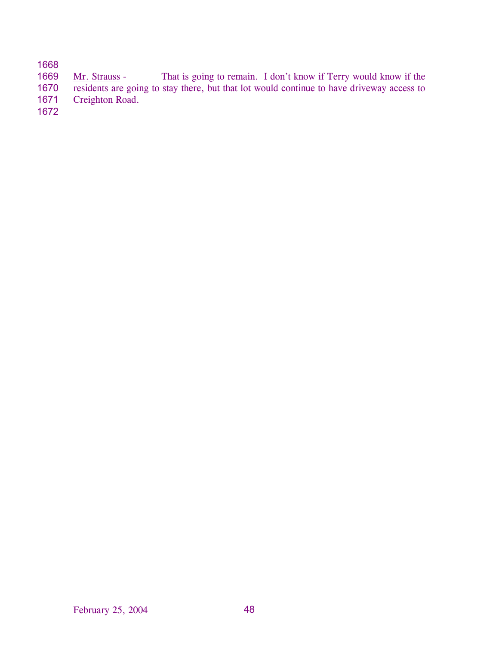# 1668

Mr. Strauss - That is going to remain. I don't know if Terry would know if the residents are going to stay there, but that lot would continue to have driveway access to 1669 1670

Creighton Road. 1671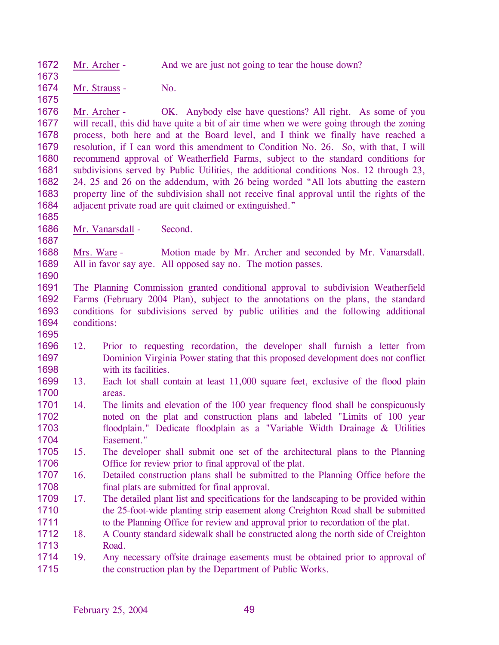1672 1673 Mr. Archer - And we are just not going to tear the house down?

1674 Mr. Strauss - No.

1675

1685

1687

1690

1695

1676 1677 1678 1679 1680 1681 1682 1683 1684 Mr. Archer - OK. Anybody else have questions? All right. As some of you will recall, this did have quite a bit of air time when we were going through the zoning process, both here and at the Board level, and I think we finally have reached a resolution, if I can word this amendment to Condition No. 26. So, with that, I will recommend approval of Weatherfield Farms, subject to the standard conditions for subdivisions served by Public Utilities, the additional conditions Nos. 12 through 23, 24, 25 and 26 on the addendum, with 26 being worded "All lots abutting the eastern property line of the subdivision shall not receive final approval until the rights of the adjacent private road are quit claimed or extinguished."

1686 Mr. Vanarsdall - Second.

1688 1689 Mrs. Ware - Motion made by Mr. Archer and seconded by Mr. Vanarsdall. All in favor say aye. All opposed say no. The motion passes.

1691 1692 1693 1694 The Planning Commission granted conditional approval to subdivision Weatherfield Farms (February 2004 Plan), subject to the annotations on the plans, the standard conditions for subdivisions served by public utilities and the following additional conditions:

- 1696 1697 1698 12. Prior to requesting recordation, the developer shall furnish a letter from Dominion Virginia Power stating that this proposed development does not conflict with its facilities.
- 1699 1700 13. Each lot shall contain at least 11,000 square feet, exclusive of the flood plain areas.
- 1701 1702 1703 1704 14. The limits and elevation of the 100 year frequency flood shall be conspicuously noted on the plat and construction plans and labeled "Limits of 100 year floodplain." Dedicate floodplain as a "Variable Width Drainage & Utilities Easement."
- 1705 1706 15. The developer shall submit one set of the architectural plans to the Planning Office for review prior to final approval of the plat.
- 1707 1708 16. Detailed construction plans shall be submitted to the Planning Office before the final plats are submitted for final approval.
- 1709 1710 1711 17. The detailed plant list and specifications for the landscaping to be provided within the 25-foot-wide planting strip easement along Creighton Road shall be submitted to the Planning Office for review and approval prior to recordation of the plat.
- 1712 1713 18. A County standard sidewalk shall be constructed along the north side of Creighton Road.
- 1714 1715 19. Any necessary offsite drainage easements must be obtained prior to approval of the construction plan by the Department of Public Works.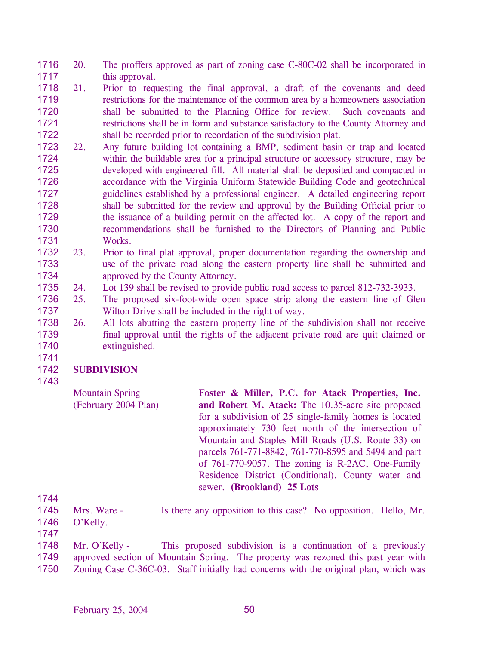- 1716 1717 20. The proffers approved as part of zoning case C-80C-02 shall be incorporated in this approval.
- 1718 1719 1720 1721 1722 21. Prior to requesting the final approval, a draft of the covenants and deed restrictions for the maintenance of the common area by a homeowners association shall be submitted to the Planning Office for review. Such covenants and restrictions shall be in form and substance satisfactory to the County Attorney and shall be recorded prior to recordation of the subdivision plat.
- 1723 1724 1725 1726 1727 1728 1729 1730 1731 22. Any future building lot containing a BMP, sediment basin or trap and located within the buildable area for a principal structure or accessory structure, may be developed with engineered fill. All material shall be deposited and compacted in accordance with the Virginia Uniform Statewide Building Code and geotechnical guidelines established by a professional engineer. A detailed engineering report shall be submitted for the review and approval by the Building Official prior to the issuance of a building permit on the affected lot. A copy of the report and recommendations shall be furnished to the Directors of Planning and Public Works.
- 1732 1733 1734 23. Prior to final plat approval, proper documentation regarding the ownership and use of the private road along the eastern property line shall be submitted and approved by the County Attorney.
- 1735 24. Lot 139 shall be revised to provide public road access to parcel 812-732-3933.
- 1736 1737 25. The proposed six-foot-wide open space strip along the eastern line of Glen Wilton Drive shall be included in the right of way.
- 1738 1739 1740 26. All lots abutting the eastern property line of the subdivision shall not receive final approval until the rights of the adjacent private road are quit claimed or extinguished.

## 1742 **SUBDIVISION**

1743

1744

1741

Mountain Spring (February 2004 Plan) **Foster & Miller, P.C. for Atack Properties, Inc. and Robert M. Atack:** The 10.35-acre site proposed for a subdivision of 25 single-family homes is located approximately 730 feet north of the intersection of Mountain and Staples Mill Roads (U.S. Route 33) on parcels 761-771-8842, 761-770-8595 and 5494 and part of 761-770-9057. The zoning is R-2AC, One-Family Residence District (Conditional). County water and sewer. **(Brookland) 25 Lots** 

- 1745 1746 Mrs. Ware - Is there any opposition to this case? No opposition. Hello, Mr. O'Kelly.
- 1747
- Mr. O'Kelly This proposed subdivision is a continuation of a previously approved section of Mountain Spring. The property was rezoned this past year with Zoning Case C-36C-03. Staff initially had concerns with the original plan, which was 1748 1749 1750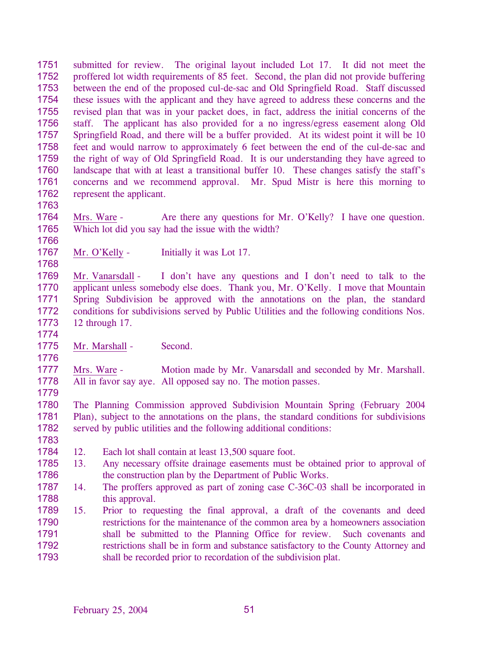1751 1752 1753 1754 1755 1756 1757 1758 1759 1760 1761 1762 submitted for review. The original layout included Lot 17. It did not meet the proffered lot width requirements of 85 feet. Second, the plan did not provide buffering between the end of the proposed cul-de-sac and Old Springfield Road. Staff discussed these issues with the applicant and they have agreed to address these concerns and the revised plan that was in your packet does, in fact, address the initial concerns of the staff. The applicant has also provided for a no ingress/egress easement along Old Springfield Road, and there will be a buffer provided. At its widest point it will be 10 feet and would narrow to approximately 6 feet between the end of the cul-de-sac and the right of way of Old Springfield Road. It is our understanding they have agreed to landscape that with at least a transitional buffer 10. These changes satisfy the staff's concerns and we recommend approval. Mr. Spud Mistr is here this morning to represent the applicant.

1763

1766

1768

1764 1765 Mrs. Ware - Are there any questions for Mr. O'Kelly? I have one question. Which lot did you say had the issue with the width?

1767 Mr. O'Kelly - Initially it was Lot 17.

1769 1770 1771 1772 1773 Mr. Vanarsdall - I don't have any questions and I don't need to talk to the applicant unless somebody else does. Thank you, Mr. O'Kelly. I move that Mountain Spring Subdivision be approved with the annotations on the plan, the standard conditions for subdivisions served by Public Utilities and the following conditions Nos. 12 through 17.

1775 Mr. Marshall - Second.

1777 1778 Mrs. Ware - Motion made by Mr. Vanarsdall and seconded by Mr. Marshall. All in favor say aye. All opposed say no. The motion passes.

1779

1783

1774

1776

1780 1781 1782 The Planning Commission approved Subdivision Mountain Spring (February 2004 Plan), subject to the annotations on the plans, the standard conditions for subdivisions served by public utilities and the following additional conditions:

- 1784 12. Each lot shall contain at least 13,500 square foot.
- 1785 1786 13. Any necessary offsite drainage easements must be obtained prior to approval of the construction plan by the Department of Public Works.
- 1787 1788 14. The proffers approved as part of zoning case C-36C-03 shall be incorporated in this approval.
- 1789 1790 1791 1792 1793 15. Prior to requesting the final approval, a draft of the covenants and deed restrictions for the maintenance of the common area by a homeowners association shall be submitted to the Planning Office for review. Such covenants and restrictions shall be in form and substance satisfactory to the County Attorney and shall be recorded prior to recordation of the subdivision plat.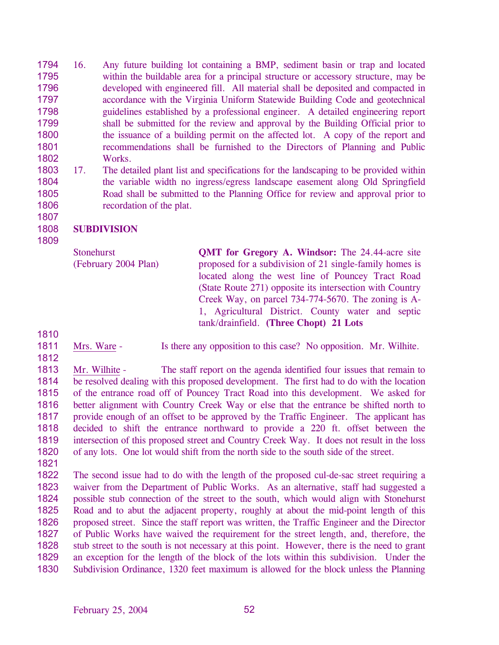1794 1795 1796 1797 1798 1799 1800 1801 1802 16. Any future building lot containing a BMP, sediment basin or trap and located within the buildable area for a principal structure or accessory structure, may be developed with engineered fill. All material shall be deposited and compacted in accordance with the Virginia Uniform Statewide Building Code and geotechnical guidelines established by a professional engineer. A detailed engineering report shall be submitted for the review and approval by the Building Official prior to the issuance of a building permit on the affected lot. A copy of the report and recommendations shall be furnished to the Directors of Planning and Public Works.

1803 1804 1805 1806 17. The detailed plant list and specifications for the landscaping to be provided within the variable width no ingress/egress landscape easement along Old Springfield Road shall be submitted to the Planning Office for review and approval prior to recordation of the plat.

## 1808 **SUBDIVISION**

**Stonehurst** (February 2004 Plan) **QMT for Gregory A. Windsor:** The 24.44-acre site proposed for a subdivision of 21 single-family homes is located along the west line of Pouncey Tract Road (State Route 271) opposite its intersection with Country Creek Way, on parcel 734-774-5670. The zoning is A-1, Agricultural District. County water and septic tank/drainfield. **(Three Chopt) 21 Lots** 

1810

1807

1809

- 1811 1812
- Mrs. Ware Is there any opposition to this case? No opposition. Mr. Wilhite.

1813 1814 1815 1816 1817 1818 1819 1820 Mr. Wilhite - The staff report on the agenda identified four issues that remain to be resolved dealing with this proposed development. The first had to do with the location of the entrance road off of Pouncey Tract Road into this development. We asked for better alignment with Country Creek Way or else that the entrance be shifted north to provide enough of an offset to be approved by the Traffic Engineer. The applicant has decided to shift the entrance northward to provide a 220 ft. offset between the intersection of this proposed street and Country Creek Way. It does not result in the loss of any lots. One lot would shift from the north side to the south side of the street.

1821

1822 1823 1824 1825 1826 1827 1828 1829 1830 The second issue had to do with the length of the proposed cul-de-sac street requiring a waiver from the Department of Public Works. As an alternative, staff had suggested a possible stub connection of the street to the south, which would align with Stonehurst Road and to abut the adjacent property, roughly at about the mid-point length of this proposed street. Since the staff report was written, the Traffic Engineer and the Director of Public Works have waived the requirement for the street length, and, therefore, the stub street to the south is not necessary at this point. However, there is the need to grant an exception for the length of the block of the lots within this subdivision. Under the Subdivision Ordinance, 1320 feet maximum is allowed for the block unless the Planning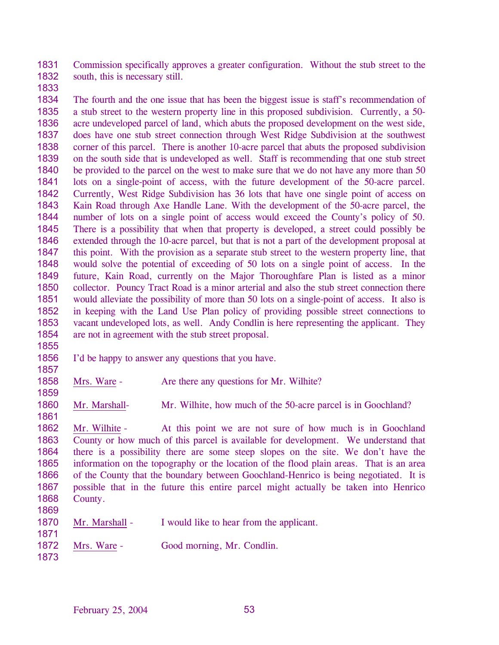1831 1832 Commission specifically approves a greater configuration. Without the stub street to the south, this is necessary still.

1833

1834 1835 1836 1837 1838 1839 1840 1841 1842 1843 1844 1845 1846 1847 1848 1849 1850 1851 1852 1853 1854 The fourth and the one issue that has been the biggest issue is staff's recommendation of a stub street to the western property line in this proposed subdivision. Currently, a 50 acre undeveloped parcel of land, which abuts the proposed development on the west side, does have one stub street connection through West Ridge Subdivision at the southwest corner of this parcel. There is another 10-acre parcel that abuts the proposed subdivision on the south side that is undeveloped as well. Staff is recommending that one stub street be provided to the parcel on the west to make sure that we do not have any more than 50 lots on a single-point of access, with the future development of the 50-acre parcel. Currently, West Ridge Subdivision has 36 lots that have one single point of access on Kain Road through Axe Handle Lane. With the development of the 50-acre parcel, the number of lots on a single point of access would exceed the County's policy of 50. There is a possibility that when that property is developed, a street could possibly be extended through the 10-acre parcel, but that is not a part of the development proposal at this point. With the provision as a separate stub street to the western property line, that would solve the potential of exceeding of 50 lots on a single point of access. In the future, Kain Road, currently on the Major Thoroughfare Plan is listed as a minor collector. Pouncy Tract Road is a minor arterial and also the stub street connection there would alleviate the possibility of more than 50 lots on a single-point of access. It also is in keeping with the Land Use Plan policy of providing possible street connections to vacant undeveloped lots, as well. Andy Condlin is here representing the applicant. They are not in agreement with the stub street proposal.

- 1856 I'd be happy to answer any questions that you have.
- 1858 Mrs. Ware - Are there any questions for Mr. Wilhite?
- 1860 Mr. Marshall- Mr. Wilhite, how much of the 50-acre parcel is in Goochland?

1861 1862 1863 1864 1865 1866 1867 1868 1869 Mr. Wilhite - At this point we are not sure of how much is in Goochland County or how much of this parcel is available for development. We understand that there is a possibility there are some steep slopes on the site. We don't have the information on the topography or the location of the flood plain areas. That is an area of the County that the boundary between Goochland-Henrico is being negotiated. It is possible that in the future this entire parcel might actually be taken into Henrico County.

- 1870 Mr. Marshall - I would like to hear from the applicant.
- 1872 Mrs. Ware - Good morning, Mr. Condlin.
- 1873

1871

1855

1857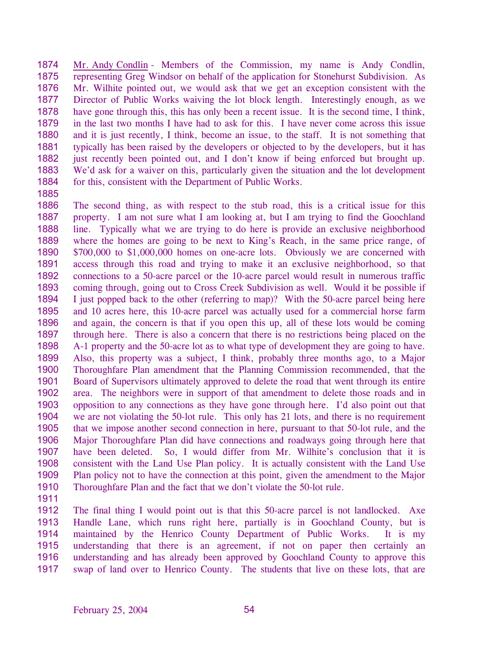1874 1875 1876 1877 1878 1879 1880 1881 1882 1883 1884 Mr. Andy Condlin - Members of the Commission, my name is Andy Condlin, representing Greg Windsor on behalf of the application for Stonehurst Subdivision. As Mr. Wilhite pointed out, we would ask that we get an exception consistent with the Director of Public Works waiving the lot block length. Interestingly enough, as we have gone through this, this has only been a recent issue. It is the second time, I think, in the last two months I have had to ask for this. I have never come across this issue and it is just recently, I think, become an issue, to the staff. It is not something that typically has been raised by the developers or objected to by the developers, but it has just recently been pointed out, and I don't know if being enforced but brought up. We'd ask for a waiver on this, particularly given the situation and the lot development for this, consistent with the Department of Public Works.

1885

1886 1887 1888 1889 1890 1891 1892 1893 1894 1895 1896 1897 1898 1899 1900 1901 1902 1903 1904 1905 1906 1907 1908 1909 1910 The second thing, as with respect to the stub road, this is a critical issue for this property. I am not sure what I am looking at, but I am trying to find the Goochland line. Typically what we are trying to do here is provide an exclusive neighborhood where the homes are going to be next to King's Reach, in the same price range, of \$700,000 to \$1,000,000 homes on one-acre lots. Obviously we are concerned with access through this road and trying to make it an exclusive neighborhood, so that connections to a 50-acre parcel or the 10-acre parcel would result in numerous traffic coming through, going out to Cross Creek Subdivision as well. Would it be possible if I just popped back to the other (referring to map)? With the 50-acre parcel being here and 10 acres here, this 10-acre parcel was actually used for a commercial horse farm and again, the concern is that if you open this up, all of these lots would be coming through here. There is also a concern that there is no restrictions being placed on the A-1 property and the 50-acre lot as to what type of development they are going to have. Also, this property was a subject, I think, probably three months ago, to a Major Thoroughfare Plan amendment that the Planning Commission recommended, that the Board of Supervisors ultimately approved to delete the road that went through its entire area. The neighbors were in support of that amendment to delete those roads and in opposition to any connections as they have gone through here. I'd also point out that we are not violating the 50-lot rule. This only has 21 lots, and there is no requirement that we impose another second connection in here, pursuant to that 50-lot rule, and the Major Thoroughfare Plan did have connections and roadways going through here that have been deleted. So, I would differ from Mr. Wilhite's conclusion that it is consistent with the Land Use Plan policy. It is actually consistent with the Land Use Plan policy not to have the connection at this point, given the amendment to the Major Thoroughfare Plan and the fact that we don't violate the 50-lot rule.

1911

1912 1913 1914 1915 1916 1917 The final thing I would point out is that this 50-acre parcel is not landlocked. Axe Handle Lane, which runs right here, partially is in Goochland County, but is maintained by the Henrico County Department of Public Works. It is my understanding that there is an agreement, if not on paper then certainly an understanding and has already been approved by Goochland County to approve this swap of land over to Henrico County. The students that live on these lots, that are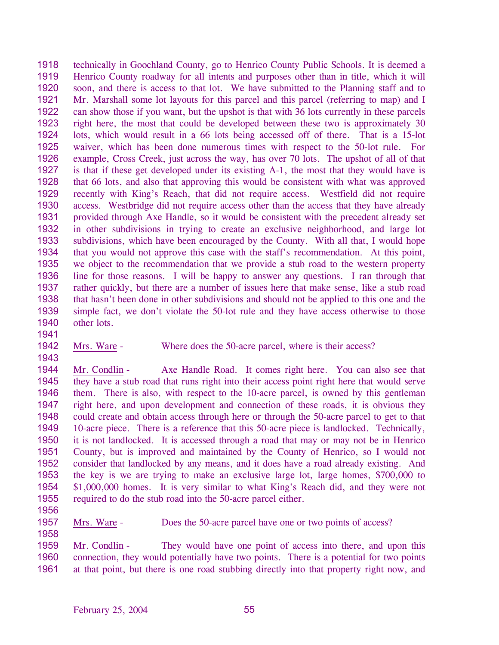1918 1919 1920 1921 1922 1923 1924 1925 1926 1927 1928 1929 1930 1931 1932 1933 1934 1935 1936 1937 1938 1939 1940 technically in Goochland County, go to Henrico County Public Schools. It is deemed a Henrico County roadway for all intents and purposes other than in title, which it will soon, and there is access to that lot. We have submitted to the Planning staff and to Mr. Marshall some lot layouts for this parcel and this parcel (referring to map) and I can show those if you want, but the upshot is that with 36 lots currently in these parcels right here, the most that could be developed between these two is approximately 30 lots, which would result in a 66 lots being accessed off of there. That is a 15-lot waiver, which has been done numerous times with respect to the 50-lot rule. For example, Cross Creek, just across the way, has over 70 lots. The upshot of all of that is that if these get developed under its existing A-1, the most that they would have is that 66 lots, and also that approving this would be consistent with what was approved recently with King's Reach, that did not require access. Westfield did not require access. Westbridge did not require access other than the access that they have already provided through Axe Handle, so it would be consistent with the precedent already set in other subdivisions in trying to create an exclusive neighborhood, and large lot subdivisions, which have been encouraged by the County. With all that, I would hope that you would not approve this case with the staff's recommendation. At this point, we object to the recommendation that we provide a stub road to the western property line for those reasons. I will be happy to answer any questions. I ran through that rather quickly, but there are a number of issues here that make sense, like a stub road that hasn't been done in other subdivisions and should not be applied to this one and the simple fact, we don't violate the 50-lot rule and they have access otherwise to those other lots.

1942 Mrs. Ware - Where does the 50-acre parcel, where is their access?

1944 1945 1946 1947 1948 1949 1950 1951 1952 1953 1954 1955 Mr. Condlin - Axe Handle Road. It comes right here. You can also see that they have a stub road that runs right into their access point right here that would serve them. There is also, with respect to the 10-acre parcel, is owned by this gentleman right here, and upon development and connection of these roads, it is obvious they could create and obtain access through here or through the 50-acre parcel to get to that 10-acre piece. There is a reference that this 50-acre piece is landlocked. Technically, it is not landlocked. It is accessed through a road that may or may not be in Henrico County, but is improved and maintained by the County of Henrico, so I would not consider that landlocked by any means, and it does have a road already existing. And the key is we are trying to make an exclusive large lot, large homes, \$700,000 to \$1,000,000 homes. It is very similar to what King's Reach did, and they were not required to do the stub road into the 50-acre parcel either.

1956

1958

1941

1943

1957

Mrs. Ware - Does the 50-acre parcel have one or two points of access?

Mr. Condlin - They would have one point of access into there, and upon this connection, they would potentially have two points. There is a potential for two points at that point, but there is one road stubbing directly into that property right now, and 1959 1960 1961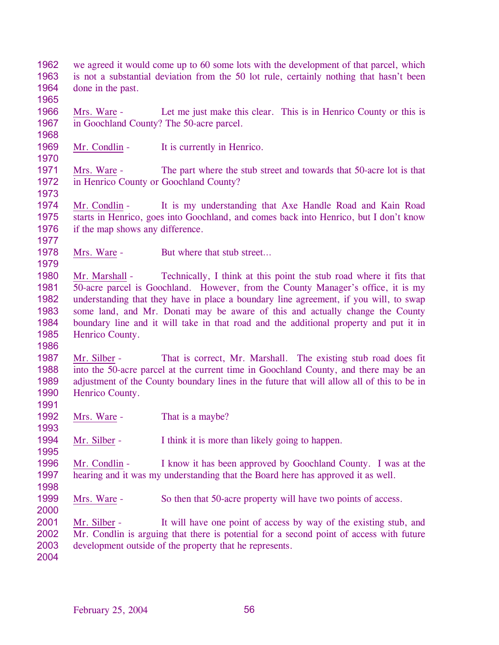1962 1963 1964 we agreed it would come up to 60 some lots with the development of that parcel, which is not a substantial deviation from the 50 lot rule, certainly nothing that hasn't been done in the past.

1965

1968

1970

1966 1967 Mrs. Ware - Let me just make this clear. This is in Henrico County or this is in Goochland County? The 50-acre parcel.

1969 Mr. Condlin - It is currently in Henrico.

1971 1972 Mrs. Ware - The part where the stub street and towards that 50-acre lot is that in Henrico County or Goochland County?

1973

1977

1979

1986

1991

1993

1995

1974 1975 1976 Mr. Condlin - It is my understanding that Axe Handle Road and Kain Road starts in Henrico, goes into Goochland, and comes back into Henrico, but I don't know if the map shows any difference.

1978 Mrs. Ware - But where that stub street...

1980 1981 1982 1983 1984 1985 Mr. Marshall - Technically, I think at this point the stub road where it fits that 50-acre parcel is Goochland. However, from the County Manager's office, it is my understanding that they have in place a boundary line agreement, if you will, to swap some land, and Mr. Donati may be aware of this and actually change the County boundary line and it will take in that road and the additional property and put it in Henrico County.

1987 1988 1989 1990 Mr. Silber - That is correct, Mr. Marshall. The existing stub road does fit into the 50-acre parcel at the current time in Goochland County, and there may be an adjustment of the County boundary lines in the future that will allow all of this to be in Henrico County.

1992 Mrs. Ware - That is a maybe?

1994 Mr. Silber - I think it is more than likely going to happen.

1996 1997 Mr. Condlin - I know it has been approved by Goochland County. I was at the hearing and it was my understanding that the Board here has approved it as well.

- 1998
- 1999 Mrs. Ware - So then that 50-acre property will have two points of access.

2000

2001 2002 2003 Mr. Silber - It will have one point of access by way of the existing stub, and Mr. Condlin is arguing that there is potential for a second point of access with future development outside of the property that he represents.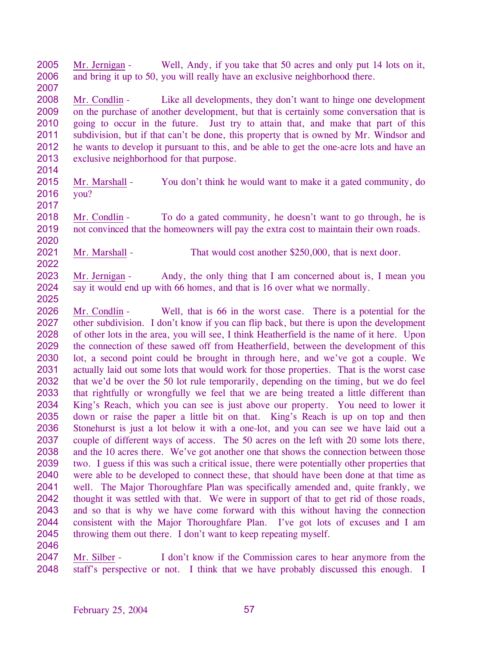2005 2006 2007 Mr. Jernigan - Well, Andy, if you take that 50 acres and only put 14 lots on it, and bring it up to 50, you will really have an exclusive neighborhood there.

2008 2009 2010 2011 2012 2013 Mr. Condlin - Like all developments, they don't want to hinge one development on the purchase of another development, but that is certainly some conversation that is going to occur in the future. Just try to attain that, and make that part of this subdivision, but if that can't be done, this property that is owned by Mr. Windsor and he wants to develop it pursuant to this, and be able to get the one-acre lots and have an exclusive neighborhood for that purpose.

- 2014
- 2015 2016 Mr. Marshall - You don't think he would want to make it a gated community, do you?
- 2017

2018 2019 2020 Mr. Condlin - To do a gated community, he doesn't want to go through, he is not convinced that the homeowners will pay the extra cost to maintain their own roads.

2021 Mr. Marshall - That would cost another \$250,000, that is next door.

2023 2024 Mr. Jernigan - Andy, the only thing that I am concerned about is, I mean you say it would end up with 66 homes, and that is 16 over what we normally.

2025

2022

2026 2027 2028 2029 2030 2031 2032 2033 2034 2035 2036 2037 2038 2039 2040 2041 2042 2043 2044 2045 Mr. Condlin - Well, that is 66 in the worst case. There is a potential for the other subdivision. I don't know if you can flip back, but there is upon the development of other lots in the area, you will see, I think Heatherfield is the name of it here. Upon the connection of these sawed off from Heatherfield, between the development of this lot, a second point could be brought in through here, and we've got a couple. We actually laid out some lots that would work for those properties. That is the worst case that we'd be over the 50 lot rule temporarily, depending on the timing, but we do feel that rightfully or wrongfully we feel that we are being treated a little different than King's Reach, which you can see is just above our property. You need to lower it down or raise the paper a little bit on that. King's Reach is up on top and then Stonehurst is just a lot below it with a one-lot, and you can see we have laid out a couple of different ways of access. The 50 acres on the left with 20 some lots there, and the 10 acres there. We've got another one that shows the connection between those two. I guess if this was such a critical issue, there were potentially other properties that were able to be developed to connect these, that should have been done at that time as well. The Major Thoroughfare Plan was specifically amended and, quite frankly, we thought it was settled with that. We were in support of that to get rid of those roads, and so that is why we have come forward with this without having the connection consistent with the Major Thoroughfare Plan. I've got lots of excuses and I am throwing them out there. I don't want to keep repeating myself.

2046

Mr. Silber - I don't know if the Commission cares to hear anymore from the staff's perspective or not. I think that we have probably discussed this enough. I 2047 2048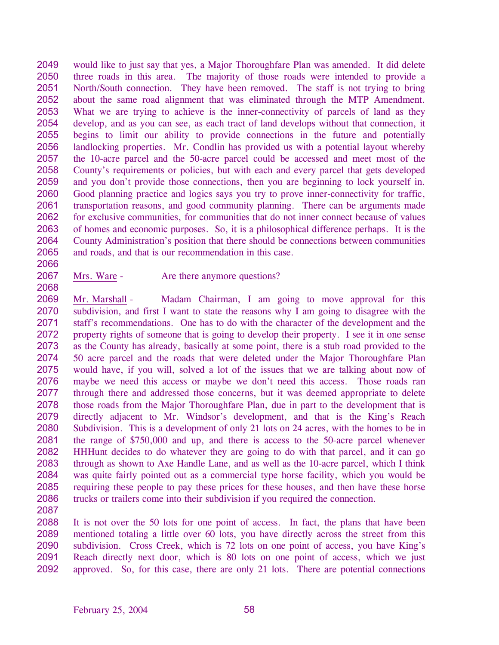2049 2050 2051 2052 2053 2054 2055 2056 2057 2058 2059 2060 2061 2062 2063 2064 2065 would like to just say that yes, a Major Thoroughfare Plan was amended. It did delete three roads in this area. The majority of those roads were intended to provide a North/South connection. They have been removed. The staff is not trying to bring about the same road alignment that was eliminated through the MTP Amendment. What we are trying to achieve is the inner-connectivity of parcels of land as they develop, and as you can see, as each tract of land develops without that connection, it begins to limit our ability to provide connections in the future and potentially landlocking properties. Mr. Condlin has provided us with a potential layout whereby the 10-acre parcel and the 50-acre parcel could be accessed and meet most of the County's requirements or policies, but with each and every parcel that gets developed and you don't provide those connections, then you are beginning to lock yourself in. Good planning practice and logics says you try to prove inner-connectivity for traffic, transportation reasons, and good community planning. There can be arguments made for exclusive communities, for communities that do not inner connect because of values of homes and economic purposes. So, it is a philosophical difference perhaps. It is the County Administration's position that there should be connections between communities and roads, and that is our recommendation in this case.

- 2066
- 2067 2068
- Mrs. Ware Are there anymore questions?

2069 2070 2071 2072 2073 2074 2075 2076 2077 2078 2079 2080 2081 2082 2083 2084 2085 2086 Mr. Marshall - Madam Chairman, I am going to move approval for this subdivision, and first I want to state the reasons why I am going to disagree with the staff's recommendations. One has to do with the character of the development and the property rights of someone that is going to develop their property. I see it in one sense as the County has already, basically at some point, there is a stub road provided to the 50 acre parcel and the roads that were deleted under the Major Thoroughfare Plan would have, if you will, solved a lot of the issues that we are talking about now of maybe we need this access or maybe we don't need this access. Those roads ran through there and addressed those concerns, but it was deemed appropriate to delete those roads from the Major Thoroughfare Plan, due in part to the development that is directly adjacent to Mr. Windsor's development, and that is the King's Reach Subdivision. This is a development of only 21 lots on 24 acres, with the homes to be in the range of \$750,000 and up, and there is access to the 50-acre parcel whenever HHHunt decides to do whatever they are going to do with that parcel, and it can go through as shown to Axe Handle Lane, and as well as the 10-acre parcel, which I think was quite fairly pointed out as a commercial type horse facility, which you would be requiring these people to pay these prices for these houses, and then have these horse trucks or trailers come into their subdivision if you required the connection.

2087

2088 2089 2090 2091 2092 It is not over the 50 lots for one point of access. In fact, the plans that have been mentioned totaling a little over 60 lots, you have directly across the street from this subdivision. Cross Creek, which is 72 lots on one point of access, you have King's Reach directly next door, which is 80 lots on one point of access, which we just approved. So, for this case, there are only 21 lots. There are potential connections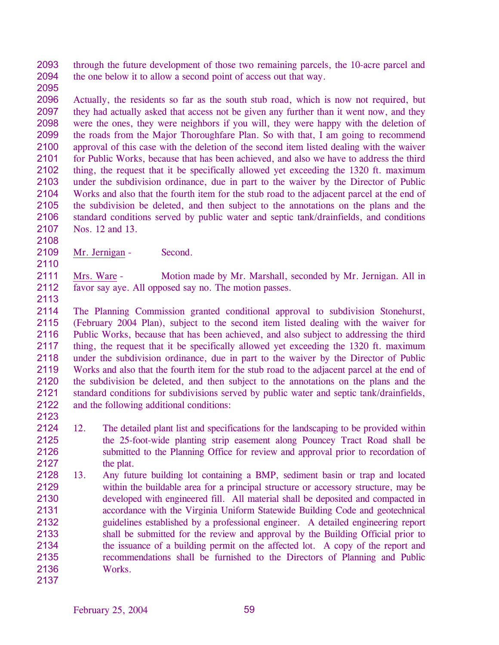2093 2094 through the future development of those two remaining parcels, the 10-acre parcel and the one below it to allow a second point of access out that way.

2095

2096 2097 2098 2099 2100 2101 2102 2103 2104 2105 2106 2107 Actually, the residents so far as the south stub road, which is now not required, but they had actually asked that access not be given any further than it went now, and they were the ones, they were neighbors if you will, they were happy with the deletion of the roads from the Major Thoroughfare Plan. So with that, I am going to recommend approval of this case with the deletion of the second item listed dealing with the waiver for Public Works, because that has been achieved, and also we have to address the third thing, the request that it be specifically allowed yet exceeding the 1320 ft. maximum under the subdivision ordinance, due in part to the waiver by the Director of Public Works and also that the fourth item for the stub road to the adjacent parcel at the end of the subdivision be deleted, and then subject to the annotations on the plans and the standard conditions served by public water and septic tank/drainfields, and conditions Nos. 12 and 13.

2109 Mr. Jernigan - Second.

2111 2112 Mrs. Ware - Motion made by Mr. Marshall, seconded by Mr. Jernigan. All in favor say aye. All opposed say no. The motion passes.

2113

2108

2110

2114 2115 2116 2117 2118 2119 2120 2121 2122 The Planning Commission granted conditional approval to subdivision Stonehurst, (February 2004 Plan), subject to the second item listed dealing with the waiver for Public Works, because that has been achieved, and also subject to addressing the third thing, the request that it be specifically allowed yet exceeding the 1320 ft. maximum under the subdivision ordinance, due in part to the waiver by the Director of Public Works and also that the fourth item for the stub road to the adjacent parcel at the end of the subdivision be deleted, and then subject to the annotations on the plans and the standard conditions for subdivisions served by public water and septic tank/drainfields, and the following additional conditions:

- 2123
- 2124 2125 2126 2127 12. The detailed plant list and specifications for the landscaping to be provided within the 25-foot-wide planting strip easement along Pouncey Tract Road shall be submitted to the Planning Office for review and approval prior to recordation of the plat.
- 2128 2129 2130 2131 2132 2133 2134 2135 2136 2137 13. Any future building lot containing a BMP, sediment basin or trap and located within the buildable area for a principal structure or accessory structure, may be developed with engineered fill. All material shall be deposited and compacted in accordance with the Virginia Uniform Statewide Building Code and geotechnical guidelines established by a professional engineer. A detailed engineering report shall be submitted for the review and approval by the Building Official prior to the issuance of a building permit on the affected lot. A copy of the report and recommendations shall be furnished to the Directors of Planning and Public Works.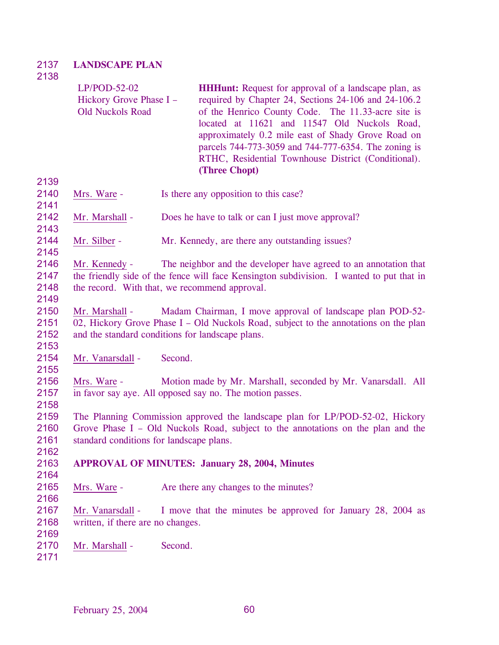## 2137 2138 **LANDSCAPE PLAN**

| 21 JO                        | $LP/POD-52-02$<br>Hickory Grove Phase I -<br><b>Old Nuckols Road</b>                                                                                                                                                           |         | <b>HHHunt:</b> Request for approval of a landscape plan, as<br>required by Chapter 24, Sections 24-106 and 24-106.2<br>of the Henrico County Code. The 11.33-acre site is<br>located at 11621 and 11547 Old Nuckols Road,<br>approximately 0.2 mile east of Shady Grove Road on<br>parcels 744-773-3059 and 744-777-6354. The zoning is<br>RTHC, Residential Townhouse District (Conditional).<br>(Three Chopt) |  |  |  |
|------------------------------|--------------------------------------------------------------------------------------------------------------------------------------------------------------------------------------------------------------------------------|---------|-----------------------------------------------------------------------------------------------------------------------------------------------------------------------------------------------------------------------------------------------------------------------------------------------------------------------------------------------------------------------------------------------------------------|--|--|--|
| 2139<br>2140<br>2141         | Mrs. Ware -                                                                                                                                                                                                                    |         | Is there any opposition to this case?                                                                                                                                                                                                                                                                                                                                                                           |  |  |  |
| 2142<br>2143                 | Mr. Marshall -                                                                                                                                                                                                                 |         | Does he have to talk or can I just move approval?                                                                                                                                                                                                                                                                                                                                                               |  |  |  |
| 2144<br>2145                 | Mr. Silber -                                                                                                                                                                                                                   |         | Mr. Kennedy, are there any outstanding issues?                                                                                                                                                                                                                                                                                                                                                                  |  |  |  |
| 2146<br>2147<br>2148<br>2149 | The neighbor and the developer have agreed to an annotation that<br>Mr. Kennedy -<br>the friendly side of the fence will face Kensington subdivision. I wanted to put that in<br>the record. With that, we recommend approval. |         |                                                                                                                                                                                                                                                                                                                                                                                                                 |  |  |  |
| 2150<br>2151<br>2152<br>2153 | Madam Chairman, I move approval of landscape plan POD-52-<br>Mr. Marshall -<br>02, Hickory Grove Phase I – Old Nuckols Road, subject to the annotations on the plan<br>and the standard conditions for landscape plans.        |         |                                                                                                                                                                                                                                                                                                                                                                                                                 |  |  |  |
| 2154<br>2155                 | Mr. Vanarsdall -                                                                                                                                                                                                               | Second. |                                                                                                                                                                                                                                                                                                                                                                                                                 |  |  |  |
| 2156<br>2157<br>2158         | Mrs. Ware -<br>Motion made by Mr. Marshall, seconded by Mr. Vanarsdall. All<br>in favor say aye. All opposed say no. The motion passes.                                                                                        |         |                                                                                                                                                                                                                                                                                                                                                                                                                 |  |  |  |
| 2159<br>2160<br>2161<br>2162 | The Planning Commission approved the landscape plan for LP/POD-52-02, Hickory<br>Grove Phase I – Old Nuckols Road, subject to the annotations on the plan and the<br>standard conditions for landscape plans.                  |         |                                                                                                                                                                                                                                                                                                                                                                                                                 |  |  |  |
| 2163<br>2164                 | <b>APPROVAL OF MINUTES: January 28, 2004, Minutes</b>                                                                                                                                                                          |         |                                                                                                                                                                                                                                                                                                                                                                                                                 |  |  |  |
| 2165<br>2166                 | Mrs. Ware -                                                                                                                                                                                                                    |         | Are there any changes to the minutes?                                                                                                                                                                                                                                                                                                                                                                           |  |  |  |
| 2167<br>2168                 | Mr. Vanarsdall -<br>I move that the minutes be approved for January 28, 2004 as<br>written, if there are no changes.                                                                                                           |         |                                                                                                                                                                                                                                                                                                                                                                                                                 |  |  |  |
| 2169<br>2170<br>2171         | Mr. Marshall -                                                                                                                                                                                                                 | Second. |                                                                                                                                                                                                                                                                                                                                                                                                                 |  |  |  |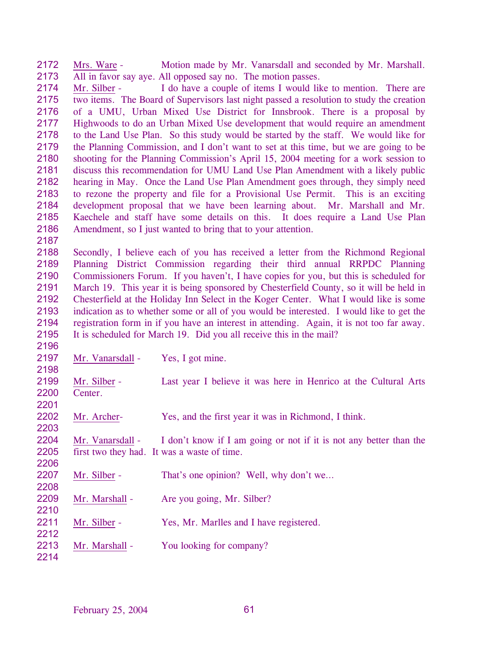2172 2173 Mrs. Ware - Motion made by Mr. Vanarsdall and seconded by Mr. Marshall. All in favor say aye. All opposed say no. The motion passes.

2174 2175 2176 2177 2178 2179 2180 2181 2182 2183 2184 2185 2186 Mr. Silber - I do have a couple of items I would like to mention. There are two items. The Board of Supervisors last night passed a resolution to study the creation of a UMU, Urban Mixed Use District for Innsbrook. There is a proposal by Highwoods to do an Urban Mixed Use development that would require an amendment to the Land Use Plan. So this study would be started by the staff. We would like for the Planning Commission, and I don't want to set at this time, but we are going to be shooting for the Planning Commission's April 15, 2004 meeting for a work session to discuss this recommendation for UMU Land Use Plan Amendment with a likely public hearing in May. Once the Land Use Plan Amendment goes through, they simply need to rezone the property and file for a Provisional Use Permit. This is an exciting development proposal that we have been learning about. Mr. Marshall and Mr. Kaechele and staff have some details on this. It does require a Land Use Plan Amendment, so I just wanted to bring that to your attention.

2187

2188 2189 2190 2191 2192 2193 2194 2195 Secondly, I believe each of you has received a letter from the Richmond Regional Planning District Commission regarding their third annual RRPDC Planning Commissioners Forum. If you haven't, I have copies for you, but this is scheduled for March 19. This year it is being sponsored by Chesterfield County, so it will be held in Chesterfield at the Holiday Inn Select in the Koger Center. What I would like is some indication as to whether some or all of you would be interested. I would like to get the registration form in if you have an interest in attending. Again, it is not too far away. It is scheduled for March 19. Did you all receive this in the mail?

2196 2197 2198 Mr. Vanarsdall - Yes, I got mine. 2199 2200 2201 Mr. Silber - Last year I believe it was here in Henrico at the Cultural Arts Center. 2202 2203 Mr. Archer- Yes, and the first year it was in Richmond, I think. 2204 2205 2206 Mr. Vanarsdall  $\sim$  I don't know if I am going or not if it is not any better than the first two they had. It was a waste of time. 2207 2208 Mr. Silber - That's one opinion? Well, why don't we... 2209 2210 Mr. Marshall - Are you going, Mr. Silber? 2211 2212 Mr. Silber - Yes, Mr. Marlles and I have registered. 2213 2214 Mr. Marshall - You looking for company?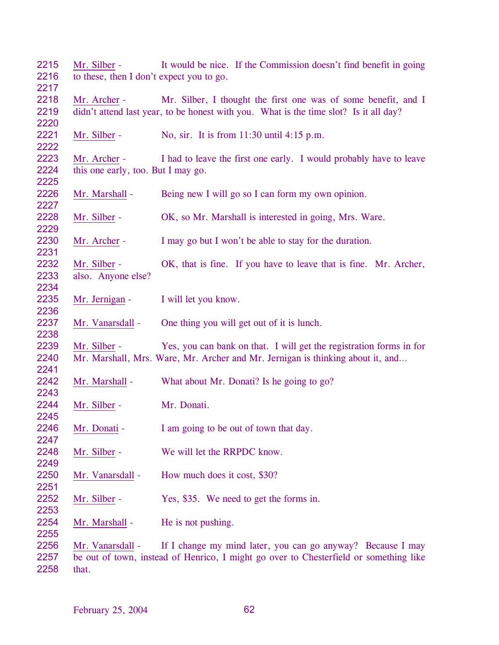| 2215 | Mr. Silber -                             | It would be nice. If the Commission doesn't find benefit in going                     |  |  |  |
|------|------------------------------------------|---------------------------------------------------------------------------------------|--|--|--|
| 2216 | to these, then I don't expect you to go. |                                                                                       |  |  |  |
| 2217 |                                          |                                                                                       |  |  |  |
| 2218 | Mr. Archer -                             | Mr. Silber, I thought the first one was of some benefit, and I                        |  |  |  |
| 2219 |                                          | didn't attend last year, to be honest with you. What is the time slot? Is it all day? |  |  |  |
| 2220 |                                          |                                                                                       |  |  |  |
| 2221 | Mr. Silber -                             | No, sir. It is from $11:30$ until $4:15$ p.m.                                         |  |  |  |
| 2222 |                                          |                                                                                       |  |  |  |
| 2223 | Mr. Archer -                             | I had to leave the first one early. I would probably have to leave                    |  |  |  |
| 2224 | this one early, too. But I may go.       |                                                                                       |  |  |  |
| 2225 |                                          |                                                                                       |  |  |  |
| 2226 | Mr. Marshall -                           | Being new I will go so I can form my own opinion.                                     |  |  |  |
| 2227 |                                          |                                                                                       |  |  |  |
| 2228 | Mr. Silber -                             | OK, so Mr. Marshall is interested in going, Mrs. Ware.                                |  |  |  |
| 2229 |                                          |                                                                                       |  |  |  |
| 2230 | Mr. Archer -                             | I may go but I won't be able to stay for the duration.                                |  |  |  |
| 2231 |                                          |                                                                                       |  |  |  |
| 2232 | Mr. Silber -                             | OK, that is fine. If you have to leave that is fine. Mr. Archer,                      |  |  |  |
| 2233 | also. Anyone else?                       |                                                                                       |  |  |  |
| 2234 |                                          |                                                                                       |  |  |  |
| 2235 | Mr. Jernigan -                           | I will let you know.                                                                  |  |  |  |
| 2236 |                                          |                                                                                       |  |  |  |
| 2237 | Mr. Vanarsdall -                         | One thing you will get out of it is lunch.                                            |  |  |  |
| 2238 |                                          |                                                                                       |  |  |  |
| 2239 | Mr. Silber -                             | Yes, you can bank on that. I will get the registration forms in for                   |  |  |  |
| 2240 |                                          | Mr. Marshall, Mrs. Ware, Mr. Archer and Mr. Jernigan is thinking about it, and        |  |  |  |
| 2241 |                                          |                                                                                       |  |  |  |
| 2242 | Mr. Marshall -                           | What about Mr. Donati? Is he going to go?                                             |  |  |  |
| 2243 |                                          |                                                                                       |  |  |  |
| 2244 | Mr. Silber -                             | Mr. Donati.                                                                           |  |  |  |
| 2245 |                                          |                                                                                       |  |  |  |
| 2246 | Mr. Donati -                             | I am going to be out of town that day.                                                |  |  |  |
| 2247 |                                          |                                                                                       |  |  |  |
| 2248 | Mr. Silber -                             | We will let the RRPDC know.                                                           |  |  |  |
| 2249 |                                          |                                                                                       |  |  |  |
| 2250 | Mr. Vanarsdall -                         | How much does it cost, \$30?                                                          |  |  |  |
| 2251 |                                          |                                                                                       |  |  |  |
| 2252 | Mr. Silber -                             | Yes, \$35. We need to get the forms in.                                               |  |  |  |
| 2253 |                                          |                                                                                       |  |  |  |
| 2254 | Mr. Marshall -                           | He is not pushing.                                                                    |  |  |  |
| 2255 |                                          |                                                                                       |  |  |  |
| 2256 | Mr. Vanarsdall -                         | If I change my mind later, you can go anyway? Because I may                           |  |  |  |
| 2257 |                                          | be out of town, instead of Henrico, I might go over to Chesterfield or something like |  |  |  |

that.